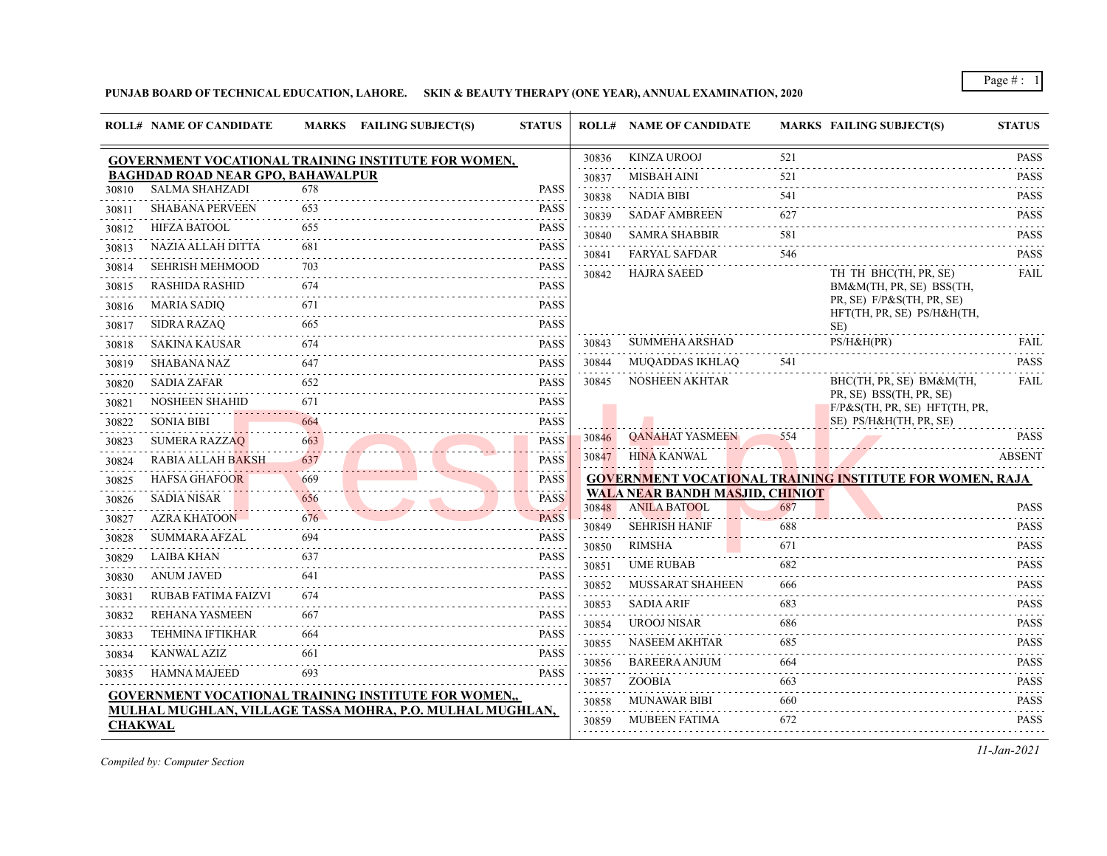**PUNJAB BOARD OF TECHNICAL EDUCATION, LAHORE. SKIN & BEAUTY THERAPY (ONE YEAR), ANNUAL EXAMINATION, 2020**

|                | <b>ROLL# NAME OF CANDIDATE</b>           |     | <b>MARKS</b> FAILING SUBJECT(S)                             | <b>STATUS</b> |                | <b>ROLL# NAME OF CANDIDATE</b>                                |     | <b>MARKS FAILING SUBJECT(S)</b>                                 | <b>STATUS</b>                                                                                                                                                                                                                                                                                                                                                                                                                                |
|----------------|------------------------------------------|-----|-------------------------------------------------------------|---------------|----------------|---------------------------------------------------------------|-----|-----------------------------------------------------------------|----------------------------------------------------------------------------------------------------------------------------------------------------------------------------------------------------------------------------------------------------------------------------------------------------------------------------------------------------------------------------------------------------------------------------------------------|
|                |                                          |     | GOVERNMENT VOCATIONAL TRAINING INSTITUTE FOR WOMEN,         |               | 30836          | <b>KINZA UROOJ</b>                                            | 521 |                                                                 | PASS                                                                                                                                                                                                                                                                                                                                                                                                                                         |
|                | <b>BAGHDAD ROAD NEAR GPO, BAHAWALPUR</b> |     |                                                             |               | 30837          | MISBAH AINI                                                   | 521 |                                                                 | <b>PASS</b>                                                                                                                                                                                                                                                                                                                                                                                                                                  |
| 30810          | <b>SALMA SHAHZADI</b>                    | 678 |                                                             | <b>PASS</b>   | 30838          | <b>NADIA BIBI</b>                                             | 541 |                                                                 | $\label{eq:2.1} \begin{array}{cccccccccccccc} \mathbf{1} & \mathbf{1} & \mathbf{1} & \mathbf{1} & \mathbf{1} & \mathbf{1} & \mathbf{1} & \mathbf{1} & \mathbf{1} & \mathbf{1} & \mathbf{1} & \mathbf{1} & \mathbf{1} & \mathbf{1} & \mathbf{1} & \mathbf{1} & \mathbf{1} & \mathbf{1} & \mathbf{1} & \mathbf{1} & \mathbf{1} & \mathbf{1} & \mathbf{1} & \mathbf{1} & \mathbf{1} & \mathbf{1} & \mathbf{1} & \mathbf{1} & \mathbf{1$<br>PASS |
| 30811          | <b>SHABANA PERVEEN</b>                   | 653 |                                                             | <b>PASS</b>   | 30839          | <b>SADAF AMBREEN</b>                                          | 627 |                                                                 | <b>PASS</b>                                                                                                                                                                                                                                                                                                                                                                                                                                  |
| 30812          | <b>HIFZA BATOOL</b>                      | 655 |                                                             | <b>PASS</b>   | 30840          | <b>SAMRA SHABBIR</b>                                          | 581 |                                                                 | PASS                                                                                                                                                                                                                                                                                                                                                                                                                                         |
| 30813          | <b>NAZIA ALLAH DITTA</b>                 | 681 |                                                             | <b>PASS</b>   | 30841          | <b>FARYAL SAFDAR</b>                                          | 546 |                                                                 | PASS                                                                                                                                                                                                                                                                                                                                                                                                                                         |
| 30814          | <b>SEHRISH MEHMOOD</b>                   | 703 |                                                             | <b>PASS</b>   | 30842          | <b>HAJRA SAEED</b>                                            |     | TH TH BHC(TH, PR, SE)                                           | $\mathbf{1} \cdot \mathbf{1} \cdot \mathbf{1} \cdot \mathbf{1} \cdot \mathbf{1} \cdot \mathbf{1}$<br>FAIL                                                                                                                                                                                                                                                                                                                                    |
| 30815          | RASHIDA RASHID                           | 674 |                                                             | <b>PASS</b>   |                |                                                               |     | BM&M(TH, PR, SE) BSS(TH,                                        |                                                                                                                                                                                                                                                                                                                                                                                                                                              |
| 30816          | <b>MARIA SADIQ</b>                       | 671 |                                                             | <b>PASS</b>   |                |                                                               |     | PR, SE) F/P&S(TH, PR, SE)<br>HFT(TH, PR, SE) PS/H&H(TH,         |                                                                                                                                                                                                                                                                                                                                                                                                                                              |
| 30817          | <b>SIDRA RAZAQ</b>                       | 665 |                                                             | <b>PASS</b>   |                |                                                               |     | SE)                                                             |                                                                                                                                                                                                                                                                                                                                                                                                                                              |
| 30818          | SAKINA KAUSAR                            | 674 |                                                             | <b>PASS</b>   | 30843          | <b>SUMMEHA ARSHAD</b>                                         |     | PS/H&H(PR)<br>.                                                 | FAIL<br>.                                                                                                                                                                                                                                                                                                                                                                                                                                    |
| 30819          | <b>SHABANA NAZ</b>                       | 647 |                                                             | <b>PASS</b>   | 30844          | MUQADDAS IKHLAQ                                               | 541 |                                                                 | PASS                                                                                                                                                                                                                                                                                                                                                                                                                                         |
| 30820          | <b>SADIA ZAFAR</b>                       | 652 |                                                             | <b>PASS</b>   | 30845          | NOSHEEN AKHTAR                                                |     | BHC(TH, PR, SE) BM&M(TH,                                        | FAIL                                                                                                                                                                                                                                                                                                                                                                                                                                         |
| 30821          | <b>NOSHEEN SHAHID</b>                    | 671 |                                                             | <b>PASS</b>   |                |                                                               |     | PR, SE) BSS(TH, PR, SE)<br>F/P&S(TH, PR, SE) HFT(TH, PR,        |                                                                                                                                                                                                                                                                                                                                                                                                                                              |
| 30822          | <b>SONIA BIBI</b>                        | 664 |                                                             | <b>PASS</b>   |                |                                                               |     | SE) PS/H&H(TH, PR, SE)                                          |                                                                                                                                                                                                                                                                                                                                                                                                                                              |
| 30823          | <b>SUMERA RAZZAO</b>                     | 663 |                                                             | <b>PASS</b>   | 30846          | <b>QANAHAT YASMEEN</b>                                        | 554 |                                                                 | <b>PASS</b>                                                                                                                                                                                                                                                                                                                                                                                                                                  |
| 30824          | RABIA ALLAH BAKSH                        | 637 |                                                             | <b>PASS</b>   | 30847          | HINA KANWAL                                                   |     |                                                                 | ABSENT                                                                                                                                                                                                                                                                                                                                                                                                                                       |
| 30825          | <b>HAFSA GHAFOOR</b>                     | 669 |                                                             | <b>PASS</b>   |                |                                                               |     | <b>GOVERNMENT VOCATIONAL TRAINING INSTITUTE FOR WOMEN, RAJA</b> |                                                                                                                                                                                                                                                                                                                                                                                                                                              |
| 30826          | <b>SADIA NISAR</b>                       | 656 |                                                             | <b>PASS</b>   | 30848          | <b>WALA NEAR BANDH MASJID, CHINIOT</b><br><b>ANILA BATOOL</b> | 687 |                                                                 | <b>PASS</b>                                                                                                                                                                                                                                                                                                                                                                                                                                  |
| 30827          | <b>AZRA KHATOON</b>                      | 676 |                                                             | <b>PASS</b>   |                | <b>SEHRISH HANIF</b>                                          | 688 |                                                                 | <b>PASS</b>                                                                                                                                                                                                                                                                                                                                                                                                                                  |
| 30828          | SUMMARA AFZAL                            | 694 |                                                             | <b>PASS</b>   | 30849          | <b>RIMSHA</b>                                                 | 671 |                                                                 | .<br><b>PASS</b>                                                                                                                                                                                                                                                                                                                                                                                                                             |
| 30829          | <b>LAIBA KHAN</b>                        | 637 |                                                             | <b>PASS</b>   | 30850<br>30851 | <b>UME RUBAB</b>                                              | 682 |                                                                 | $\sim$ $\sim$ $\sim$ $\sim$ $\sim$<br>PASS                                                                                                                                                                                                                                                                                                                                                                                                   |
| 30830          | <b>ANUM JAVED</b>                        | 641 |                                                             | <b>PASS</b>   | 30852          | MUSSARAT SHAHEEN                                              | 666 |                                                                 | <b>PASS</b>                                                                                                                                                                                                                                                                                                                                                                                                                                  |
| 30831          | RUBAB FATIMA FAIZVI                      | 674 |                                                             | <b>PASS</b>   |                | <b>SADIA ARIF</b>                                             | 683 |                                                                 | PASS                                                                                                                                                                                                                                                                                                                                                                                                                                         |
| 30832          | <b>REHANA YASMEEN</b>                    | 667 |                                                             | PASS          | 30853          | <b>UROOJ NISAR</b>                                            | 686 |                                                                 | <b>PASS</b>                                                                                                                                                                                                                                                                                                                                                                                                                                  |
| 30833          | <b>TEHMINA IFTIKHAR</b>                  | 664 |                                                             | <b>PASS</b>   | 30854          |                                                               |     |                                                                 | المتمامين                                                                                                                                                                                                                                                                                                                                                                                                                                    |
| 30834          | KANWAL AZIZ                              | 661 |                                                             | <b>PASS</b>   | 30855          | <b>NASEEM AKHTAR</b>                                          | 685 |                                                                 | <b>PASS</b>                                                                                                                                                                                                                                                                                                                                                                                                                                  |
| 30835          | HAMNA MAJEED                             | 693 |                                                             | PASS          | 30856          | <b>BAREERA ANJUM</b>                                          | 664 |                                                                 | PASS                                                                                                                                                                                                                                                                                                                                                                                                                                         |
|                |                                          |     | <b>GOVERNMENT VOCATIONAL TRAINING INSTITUTE FOR WOMEN,,</b> |               | 30857          | <b>ZOOBIA</b>                                                 | 663 |                                                                 | PASS                                                                                                                                                                                                                                                                                                                                                                                                                                         |
|                |                                          |     | MULHAL MUGHLAN, VILLAGE TASSA MOHRA, P.O. MULHAL MUGHLAN,   |               | 30858          | <b>MUNAWAR BIBI</b>                                           | 660 |                                                                 | <b>PASS</b>                                                                                                                                                                                                                                                                                                                                                                                                                                  |
| <b>CHAKWAL</b> |                                          |     |                                                             |               | 30859          | <b>MUBEEN FATIMA</b>                                          | 672 |                                                                 | PASS                                                                                                                                                                                                                                                                                                                                                                                                                                         |

*Compiled by: Computer Section*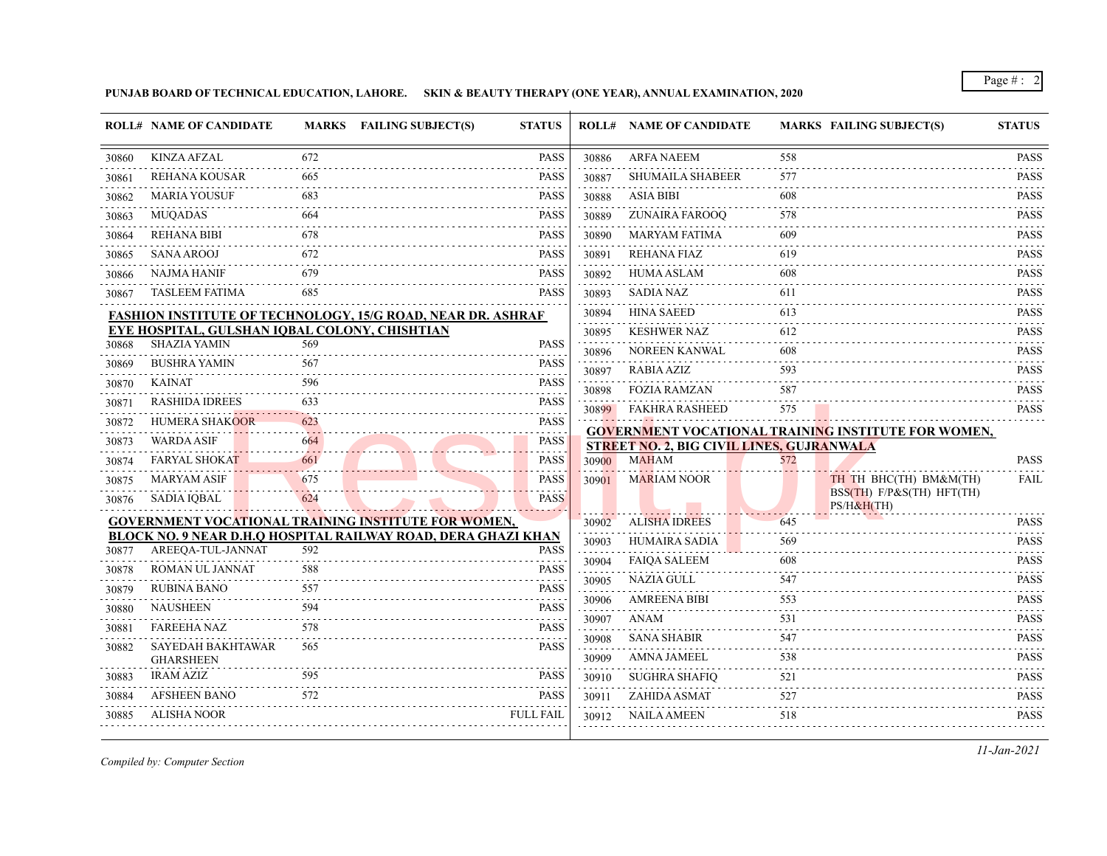**PUNJAB BOARD OF TECHNICAL EDUCATION, LAHORE. SKIN & BEAUTY THERAPY (ONE YEAR), ANNUAL EXAMINATION, 2020**

|       | <b>ROLL# NAME OF CANDIDATE</b>                |     | MARKS FAILING SUBJECT(S)                                           | <b>STATUS</b>        |                               | <b>ROLL# NAME OF CANDIDATE</b>                   |     | <b>MARKS FAILING SUBJECT(S)</b>                     | <b>STATUS</b>                                                                                                                                                                               |
|-------|-----------------------------------------------|-----|--------------------------------------------------------------------|----------------------|-------------------------------|--------------------------------------------------|-----|-----------------------------------------------------|---------------------------------------------------------------------------------------------------------------------------------------------------------------------------------------------|
| 30860 | <b>KINZA AFZAL</b>                            | 672 |                                                                    | <b>PASS</b>          | 30886                         | <b>ARFA NAEEM</b>                                | 558 |                                                     | <b>PASS</b>                                                                                                                                                                                 |
| 30861 | <b>REHANA KOUSAR</b>                          | 665 |                                                                    | <b>PASS</b>          | 30887                         | <b>SHUMAILA SHABEER</b>                          | 577 |                                                     | <b>PASS</b>                                                                                                                                                                                 |
| 30862 | <b>MARIA YOUSUF</b>                           | 683 |                                                                    | <b>PASS</b>          | 30888                         | <b>ASIA BIBI</b>                                 | 608 |                                                     | <b>PASS</b>                                                                                                                                                                                 |
| 30863 | <b>MUOADAS</b>                                | 664 |                                                                    | <b>PASS</b>          | 30889                         | ZUNAIRA FAROOQ                                   | 578 |                                                     | $-2 - 2 - 2 - 2$<br><b>PASS</b>                                                                                                                                                             |
| 30864 | <b>REHANA BIBI</b>                            | 678 |                                                                    | 22222<br><b>PASS</b> | 30890                         | <b>MARYAM FATIMA</b>                             | 609 |                                                     | $\mathcal{L}^{\mathcal{A}}\left( \mathcal{L}^{\mathcal{A}}\left( \mathcal{L}^{\mathcal{A}}\right) \right) =\mathcal{L}^{\mathcal{A}}\left( \mathcal{L}^{\mathcal{A}}\right)$<br><b>PASS</b> |
| 30865 | <b>SANA AROOJ</b>                             | 672 |                                                                    | <b>PASS</b>          | 30891                         | <b>REHANA FIAZ</b>                               | 619 |                                                     | <b>PASS</b>                                                                                                                                                                                 |
| 30866 | <b>NAJMA HANIF</b>                            | 679 |                                                                    | <b>PASS</b>          | 30892                         | <b>HUMA ASLAM</b>                                | 608 |                                                     | <b>PASS</b>                                                                                                                                                                                 |
| 30867 | <b>TASLEEM FATIMA</b>                         | 685 |                                                                    | <b>PASS</b>          | $-2 - 2 - 2 - 2 - 2$<br>30893 | <b>SADIA NAZ</b>                                 | 611 |                                                     | .<br><b>PASS</b><br>.                                                                                                                                                                       |
|       |                                               |     | <b>FASHION INSTITUTE OF TECHNOLOGY, 15/G ROAD, NEAR DR. ASHRAF</b> |                      | 30894                         | <b>HINA SAEED</b>                                | 613 |                                                     | <b>PASS</b>                                                                                                                                                                                 |
|       | EYE HOSPITAL, GULSHAN IQBAL COLONY, CHISHTIAN |     |                                                                    |                      | 30895                         | <b>KESHWER NAZ</b>                               | 612 |                                                     | <b>PASS</b>                                                                                                                                                                                 |
| 30868 | <b>SHAZIA YAMIN</b>                           | 569 |                                                                    | <b>PASS</b>          | 30896                         | <b>NOREEN KANWAL</b>                             | 608 |                                                     | <b>PASS</b>                                                                                                                                                                                 |
| 30869 | <b>BUSHRA YAMIN</b>                           | 567 |                                                                    | <b>PASS</b>          | 30897                         | <b>RABIA AZIZ</b>                                | 593 |                                                     | .<br><b>PASS</b>                                                                                                                                                                            |
| 30870 | <b>KAINAT</b>                                 | 596 |                                                                    | <b>PASS</b>          | 30898                         | <b>FOZIA RAMZAN</b>                              | 587 |                                                     | <b>PASS</b>                                                                                                                                                                                 |
| 30871 | <b>RASHIDA IDREES</b>                         | 633 |                                                                    | <b>PASS</b>          | 30899                         | <b>FAKHRA RASHEED</b>                            | 575 |                                                     | <b>PASS</b>                                                                                                                                                                                 |
| 30872 | HUMERA SHAKOOR                                | 623 |                                                                    | <b>PASS</b>          |                               |                                                  |     | GOVERNMENT VOCATIONAL TRAINING INSTITUTE FOR WOMEN, |                                                                                                                                                                                             |
| 30873 | <b>WARDA ASIF</b>                             | 664 |                                                                    | <b>PASS</b>          |                               | <b>STREET NO. 2, BIG CIVIL LINES, GUJRANWALA</b> |     |                                                     |                                                                                                                                                                                             |
| 30874 | <b>FARYAL SHOKAT</b>                          | 661 |                                                                    | <b>PASS</b>          | 30900                         | <b>MAHAM</b>                                     | 572 |                                                     | <b>PASS</b>                                                                                                                                                                                 |
| 30875 | <b>MARYAM ASIF</b>                            | 675 |                                                                    | <b>PASS</b>          | 30901                         | <b>MARIAM NOOR</b>                               |     | TH TH BHC(TH) BM&M(TH)                              | <b>FAIL</b>                                                                                                                                                                                 |
| 30876 | <b>SADIA IOBAL</b>                            | 624 |                                                                    | <b>PASS</b>          |                               |                                                  |     | BSS(TH) F/P&S(TH) HFT(TH)<br>PS/H&H(TH)             |                                                                                                                                                                                             |
|       |                                               |     | <b>GOVERNMENT VOCATIONAL TRAINING INSTITUTE FOR WOMEN,</b>         |                      | 30902                         | <b>ALISHA IDREES</b>                             | 645 |                                                     | <b>PASS</b>                                                                                                                                                                                 |
| 30877 | AREEOA-TUL-JANNAT                             | 592 | BLOCK NO. 9 NEAR D.H.O HOSPITAL RAILWAY ROAD, DERA GHAZI KHAN      | <b>PASS</b>          | 30903                         | HUMAIRA SADIA                                    | 569 |                                                     | <b>PASS</b><br>.                                                                                                                                                                            |
|       | ROMAN UL JANNAT                               | 588 |                                                                    | <b>PASS</b>          | 30904                         | <b>FAIQA SALEEM</b>                              | 608 |                                                     | <b>PASS</b>                                                                                                                                                                                 |
| 30878 | <b>RUBINA BANO</b>                            | 557 |                                                                    | <b>PASS</b>          | 30905                         | NAZIA GULL                                       | 547 |                                                     | .<br><b>PASS</b>                                                                                                                                                                            |
| 30879 | <b>NAUSHEEN</b>                               | 594 |                                                                    |                      | 30906                         | <b>AMREENA BIBI</b>                              | 553 |                                                     | <b>PASS</b>                                                                                                                                                                                 |
| 30880 |                                               |     |                                                                    | <b>PASS</b>          | 30907                         | ANAM                                             | 531 |                                                     | <b>PASS</b>                                                                                                                                                                                 |
| 30881 | <b>FAREEHA NAZ</b>                            | 578 |                                                                    | <b>PASS</b>          | 30908                         | <b>SANA SHABIR</b>                               | 547 |                                                     | <b>PASS</b>                                                                                                                                                                                 |
| 30882 | SAYEDAH BAKHTAWAR<br><b>GHARSHEEN</b>         | 565 |                                                                    | <b>PASS</b>          | 30909                         | <b>AMNA JAMEEL</b>                               | 538 |                                                     | <b>PASS</b>                                                                                                                                                                                 |
| 30883 | <b>IRAM AZIZ</b>                              | 595 |                                                                    | <b>PASS</b><br>.     | 30910                         | <b>SUGHRA SHAFIQ</b>                             | 521 |                                                     | .<br><b>PASS</b>                                                                                                                                                                            |
| 30884 | <b>AFSHEEN BANO</b>                           | 572 |                                                                    | <b>PASS</b>          | 30911                         | ZAHIDA ASMAT                                     | 527 |                                                     | <b>PASS</b>                                                                                                                                                                                 |
| 30885 | <b>ALISHA NOOR</b>                            |     |                                                                    | <b>FULL FAIL</b>     | 30912                         | <b>NAILA AMEEN</b>                               | 518 |                                                     | <b>PASS</b>                                                                                                                                                                                 |
|       |                                               |     |                                                                    |                      |                               |                                                  |     |                                                     |                                                                                                                                                                                             |

*Compiled by: Computer Section*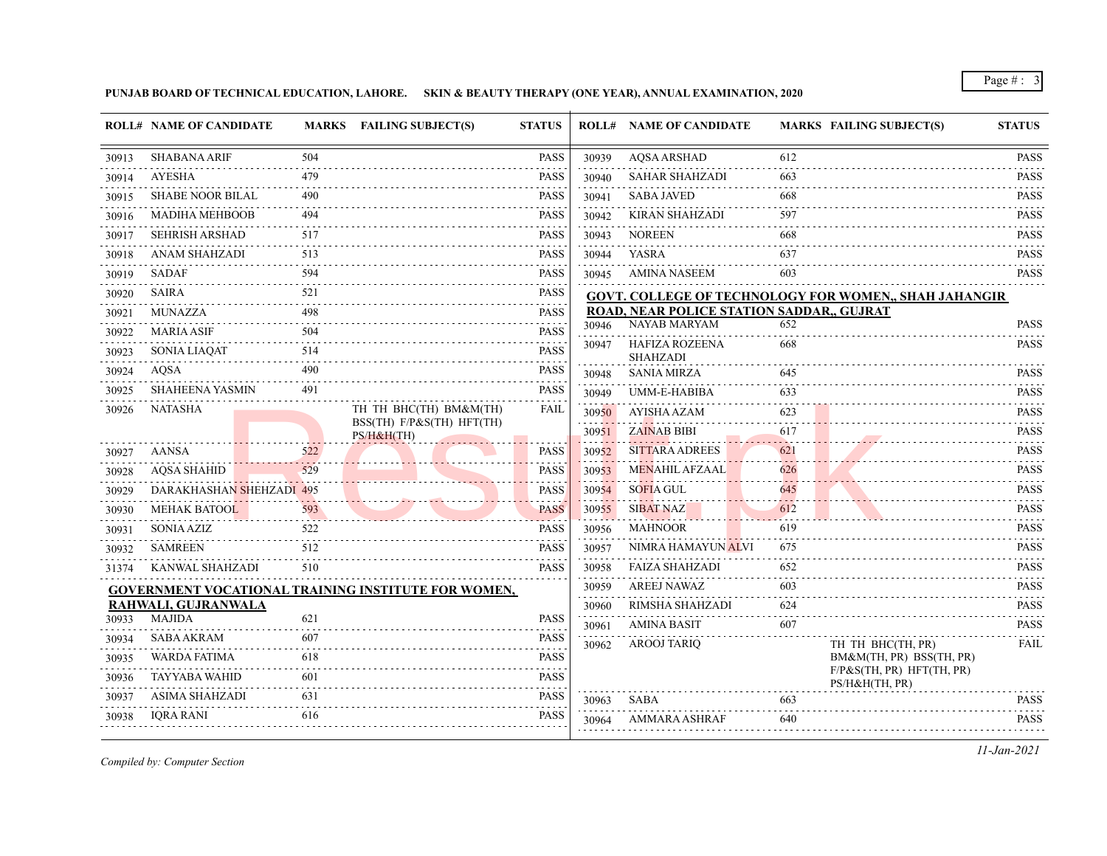**PUNJAB BOARD OF TECHNICAL EDUCATION, LAHORE. SKIN & BEAUTY THERAPY (ONE YEAR), ANNUAL EXAMINATION, 2020**

|       | <b>ROLL# NAME OF CANDIDATE</b> |          | MARKS FAILING SUBJECT(S)                            | <b>STATUS</b>                                                                                                                                       |            | <b>ROLL# NAME OF CANDIDATE</b>            |                                    | <b>MARKS FAILING SUBJECT(S)</b>                              | <b>STATUS</b>                                                                                                                            |
|-------|--------------------------------|----------|-----------------------------------------------------|-----------------------------------------------------------------------------------------------------------------------------------------------------|------------|-------------------------------------------|------------------------------------|--------------------------------------------------------------|------------------------------------------------------------------------------------------------------------------------------------------|
| 30913 | <b>SHABANA ARIF</b>            | 504      |                                                     | <b>PASS</b>                                                                                                                                         | 30939      | <b>AQSA ARSHAD</b>                        | 612                                |                                                              | <b>PASS</b><br>.                                                                                                                         |
| 30914 | <b>AYESHA</b>                  | 479      |                                                     | <b>PASS</b>                                                                                                                                         | 30940      | <b>SAHAR SHAHZADI</b>                     | 663                                |                                                              | <b>PASS</b>                                                                                                                              |
| 30915 | <b>SHABE NOOR BILAL</b>        | 490      |                                                     | <b>PASS</b>                                                                                                                                         | 30941      | <b>SABA JAVED</b>                         | 668                                |                                                              | <b>PASS</b>                                                                                                                              |
| 30916 | <b>MADIHA MEHBOOB</b>          | 494      |                                                     | <b>PASS</b><br>.                                                                                                                                    | 30942      | <b>KIRAN SHAHZADI</b>                     | 597                                |                                                              | <b>PASS</b><br>.                                                                                                                         |
| 30917 | <b>SEHRISH ARSHAD</b>          | 517      |                                                     | <b>PASS</b>                                                                                                                                         | 30943      | <b>NOREEN</b>                             | 668                                |                                                              | <b>PASS</b>                                                                                                                              |
| 30918 | ANAM SHAHZADI                  | 513      |                                                     | <b>PASS</b>                                                                                                                                         | 30944      | YASRA                                     | 637                                |                                                              | <b>PASS</b><br><u>.</u>                                                                                                                  |
| 30919 | <b>SADAF</b>                   | 594      |                                                     | <b>PASS</b>                                                                                                                                         | 30945      | AMINA NASEEM                              | 603                                |                                                              | <b>PASS</b>                                                                                                                              |
| 30920 | <b>SAIRA</b>                   | 521      |                                                     | <b>PASS</b>                                                                                                                                         |            |                                           |                                    | <b>GOVT. COLLEGE OF TECHNOLOGY FOR WOMEN,, SHAH JAHANGIR</b> |                                                                                                                                          |
| 30921 | <b>MUNAZZA</b>                 | 498      |                                                     | <b>PASS</b>                                                                                                                                         |            | ROAD, NEAR POLICE STATION SADDAR,, GUJRAT |                                    |                                                              |                                                                                                                                          |
| 30922 | <b>MARIA ASIF</b>              | 504      |                                                     | $\mathcal{L}^{\mathcal{A}}\left( \mathcal{A}^{\mathcal{A}}\right) =\mathcal{L}^{\mathcal{A}}\left( \mathcal{A}^{\mathcal{A}}\right)$<br><b>PASS</b> | 30946      | <b>NAYAB MARYAM</b>                       | 652                                |                                                              | <b>PASS</b>                                                                                                                              |
| 30923 | <b>SONIA LIAOAT</b>            | 514      |                                                     | <b>PASS</b>                                                                                                                                         | 30947      | <b>HAFIZA ROZEENA</b><br><b>SHAHZADI</b>  | 668                                |                                                              | <b>PASS</b>                                                                                                                              |
| 30924 | AOSA                           | 490      |                                                     | <b>PASS</b>                                                                                                                                         | 30948      | <b>SANIA MIRZA</b>                        | 645                                |                                                              | <b>PASS</b>                                                                                                                              |
| 30925 | <b>SHAHEENA YASMIN</b>         | 491      |                                                     | <b>PASS</b>                                                                                                                                         | 30949      | <b>UMM-E-HABIBA</b>                       | 633                                |                                                              | .<br><b>PASS</b>                                                                                                                         |
| 30926 | <b>NATASHA</b>                 |          | TH TH BHC(TH) BM&M(TH)                              | <b>FAIL</b>                                                                                                                                         | 30950      | <b>AYISHA AZAM</b>                        | 623                                |                                                              | .<br><b>PASS</b>                                                                                                                         |
|       |                                |          | BSS(TH) F/P&S(TH) HFT(TH)<br>PS/H&H(TH)             |                                                                                                                                                     | 30951      | <b>ZAINAB BIBI</b>                        | 617                                |                                                              | .<br><b>PASS</b>                                                                                                                         |
| 30927 | <b>AANSA</b>                   | 522      |                                                     | <b>PASS</b>                                                                                                                                         | 30952      | <b>SITTARA ADREES</b>                     | 621                                |                                                              | <b>PASS</b>                                                                                                                              |
| 30928 | <b>AQSA SHAHID</b>             | .<br>529 |                                                     | <b>PASS</b>                                                                                                                                         | 30953      | <b>MENAHIL AFZAAL</b>                     | .<br>626                           |                                                              | .<br><b>PASS</b>                                                                                                                         |
| 30929 | DARAKHASHAN SHEHZADI 495       |          |                                                     | <b>PASS</b>                                                                                                                                         | 30954      | <b>SOFIA GUL</b>                          | 645                                |                                                              | .<br><b>PASS</b>                                                                                                                         |
| 30930 | <b>MEHAK BATOOL</b>            | 593      | . . <i>.</i>                                        | <b>PASS</b>                                                                                                                                         | 30955      | <b>SIBAT NAZ</b>                          | 612                                |                                                              | .<br><b>PASS</b>                                                                                                                         |
| 30931 | <b>SONIA AZIZ</b>              | 522      |                                                     | <b>PASS</b>                                                                                                                                         | 30956      | <b>MAHNOOR</b>                            | 619                                |                                                              | .<br><b>PASS</b>                                                                                                                         |
| 30932 | <b>SAMREEN</b>                 | 512      |                                                     | <b>PASS</b>                                                                                                                                         | 30957      | NIMRA HAMAYUN ALVI                        | 675                                |                                                              | <b>PASS</b>                                                                                                                              |
| 31374 | KANWAL SHAHZADI                | 510      |                                                     | <b>PASS</b>                                                                                                                                         | 30958      | <b>FAIZA SHAHZADI</b>                     | 652                                |                                                              | <b>PASS</b>                                                                                                                              |
|       |                                |          | GOVERNMENT VOCATIONAL TRAINING INSTITUTE FOR WOMEN, |                                                                                                                                                     | 30959      | <b>AREEJ NAWAZ</b>                        | 603                                |                                                              | والمتعاملات<br><b>PASS</b>                                                                                                               |
|       | RAHWALI, GUJRANWALA            |          |                                                     |                                                                                                                                                     | .<br>30960 | RIMSHA SHAHZADI                           | $\sim$ $\sim$ $\sim$ $\sim$<br>624 |                                                              | $\begin{array}{cccccccccccccc} \bullet & \bullet & \bullet & \bullet & \bullet & \bullet & \bullet & \bullet \end{array}$<br><b>PASS</b> |
| 30933 | <b>MAJIDA</b>                  | 621      |                                                     | <b>PASS</b>                                                                                                                                         | 30961      | AMINA BASIT                               | 607                                |                                                              | <b>PASS</b>                                                                                                                              |
| 30934 | <b>SABA AKRAM</b>              | 607      |                                                     | <b>PASS</b>                                                                                                                                         | 30962      | <b>AROOJ TARIQ</b>                        |                                    | TH TH BHC(TH, PR)                                            | <b>FAIL</b>                                                                                                                              |
| 30935 | <b>WARDA FATIMA</b>            | 618      |                                                     | <b>PASS</b>                                                                                                                                         |            |                                           |                                    | BM&M(TH, PR) BSS(TH, PR)<br>F/P&S(TH, PR) HFT(TH, PR)        |                                                                                                                                          |
| 30936 | <b>TAYYABA WAHID</b>           | 601      |                                                     | <b>PASS</b>                                                                                                                                         |            |                                           |                                    | PS/H&H(TH, PR)                                               |                                                                                                                                          |
| 30937 | <b>ASIMA SHAHZADI</b>          | 631      |                                                     | <b>PASS</b>                                                                                                                                         | 30963      | SABA                                      | 663                                |                                                              | .<br><b>PASS</b>                                                                                                                         |
| 30938 | <b>IORA RANI</b>               | 616      |                                                     | <b>PASS</b>                                                                                                                                         | 30964      | AMMARA ASHRAF                             | 640                                |                                                              | .<br><b>PASS</b>                                                                                                                         |

*Compiled by: Computer Section*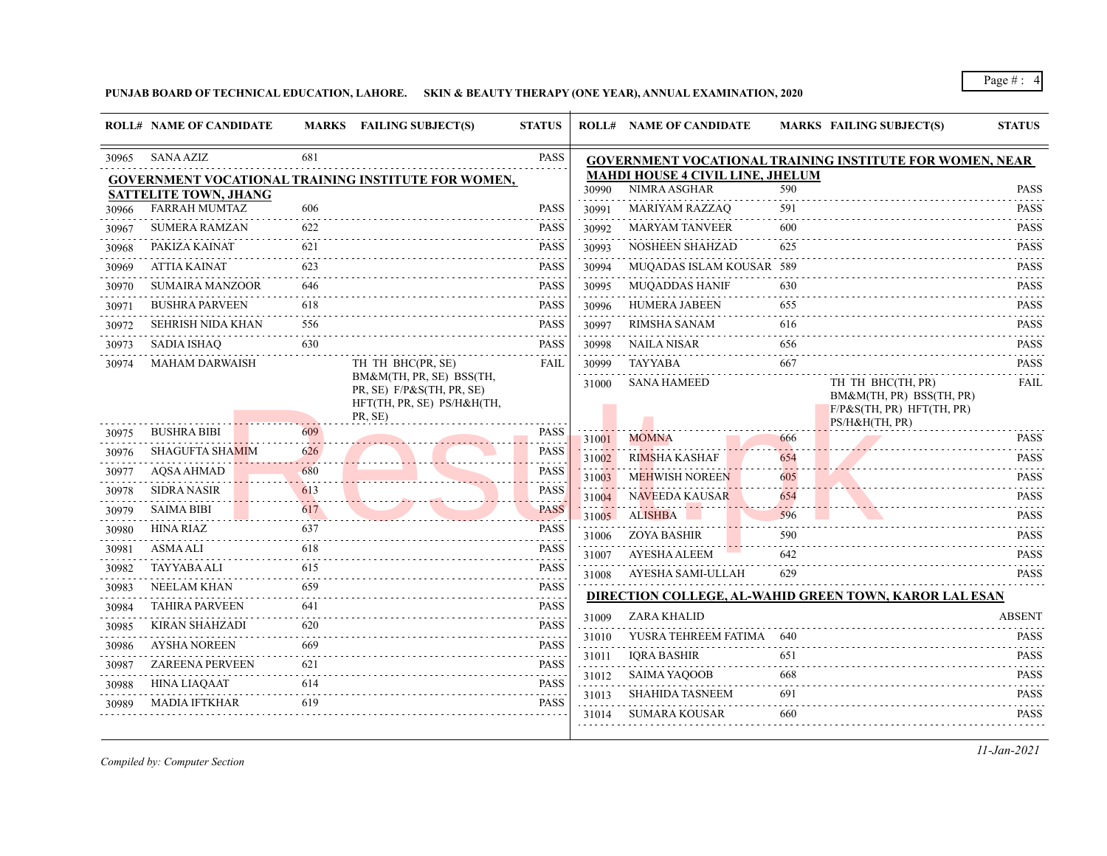**PUNJAB BOARD OF TECHNICAL EDUCATION, LAHORE. SKIN & BEAUTY THERAPY (ONE YEAR), ANNUAL EXAMINATION, 2020**

|       | <b>ROLL# NAME OF CANDIDATE</b> |          | <b>MARKS</b> FAILING SUBJECT(S)                                    | <b>STATUS</b>                                                                                                                                                                |       | <b>ROLL# NAME OF CANDIDATE</b>          |      | <b>MARKS FAILING SUBJECT(S)</b>                                                                 | <b>STATUS</b>              |
|-------|--------------------------------|----------|--------------------------------------------------------------------|------------------------------------------------------------------------------------------------------------------------------------------------------------------------------|-------|-----------------------------------------|------|-------------------------------------------------------------------------------------------------|----------------------------|
| 30965 | <b>SANA AZIZ</b>               | 681      |                                                                    | PASS                                                                                                                                                                         |       |                                         |      | GOVERNMENT VOCATIONAL TRAINING INSTITUTE FOR WOMEN, NEAR                                        |                            |
|       |                                |          | GOVERNMENT VOCATIONAL TRAINING INSTITUTE FOR WOMEN,                |                                                                                                                                                                              |       | <b>MAHDI HOUSE 4 CIVIL LINE, JHELUM</b> |      |                                                                                                 |                            |
|       | <b>SATTELITE TOWN, JHANG</b>   |          |                                                                    |                                                                                                                                                                              | 30990 | NIMRA ASGHAR                            | 590  |                                                                                                 | <b>PASS</b><br>د د د د د د |
| 30966 | <b>FARRAH MUMTAZ</b>           | 606      |                                                                    | <b>PASS</b>                                                                                                                                                                  | 30991 | <b>MARIYAM RAZZAQ</b>                   | 591  |                                                                                                 | <b>PASS</b>                |
| 30967 | <b>SUMERA RAMZAN</b>           | 622      |                                                                    | <b>PASS</b><br>.                                                                                                                                                             | 30992 | <b>MARYAM TANVEER</b>                   | 600  |                                                                                                 | <b>PASS</b><br>.           |
| 30968 | PAKIZA KAINAT                  | 621      |                                                                    | <b>PASS</b>                                                                                                                                                                  | 30993 | <b>NOSHEEN SHAHZAD</b>                  | 625  |                                                                                                 | <b>PASS</b>                |
| 30969 | ATTIA KAINAT                   | 623      |                                                                    | <b>PASS</b>                                                                                                                                                                  | 30994 | MUQADAS ISLAM KOUSAR 589                |      |                                                                                                 | <b>PASS</b>                |
| 30970 | <b>SUMAIRA MANZOOR</b>         | 646      |                                                                    | <b>PASS</b>                                                                                                                                                                  | 30995 | <b>MUQADDAS HANIF</b>                   | 630  |                                                                                                 | <b>PASS</b>                |
| 30971 | <b>BUSHRA PARVEEN</b>          | 618<br>. |                                                                    | <b>PASS</b>                                                                                                                                                                  | 30996 | <b>HUMERA JABEEN</b>                    | 655  |                                                                                                 | <b>PASS</b><br>.           |
| 30972 | <b>SEHRISH NIDA KHAN</b>       | -556     |                                                                    | <b>PASS</b>                                                                                                                                                                  | 30997 | RIMSHA SANAM                            | 616  |                                                                                                 | <b>PASS</b>                |
| 30973 | <b>SADIA ISHAQ</b>             | 630      |                                                                    | <b>PASS</b>                                                                                                                                                                  | 30998 | NAILA NISAR                             | 656  |                                                                                                 | <b>PASS</b><br>.           |
| 30974 | <b>MAHAM DARWAISH</b>          |          | TH TH BHC(PR, SE)<br>BM&M(TH, PR, SE) BSS(TH,                      | <b>FAIL</b>                                                                                                                                                                  | 30999 | <b>TAYYABA</b>                          | 667  |                                                                                                 | <b>PASS</b>                |
|       |                                |          | PR, SE) F/P&S(TH, PR, SE)<br>HFT(TH, PR, SE) PS/H&H(TH,<br>PR, SE) |                                                                                                                                                                              | 31000 | <b>SANA HAMEED</b>                      |      | TH TH BHC(TH, PR)<br>BM&M(TH, PR) BSS(TH, PR)<br>$F/P\&S(TH, PR) HFT(TH, PR)$<br>PS/H&H(TH, PR) | FAIL                       |
| 30975 | <b>BUSHRA BIBI</b>             | 609      |                                                                    | <b>PASS</b>                                                                                                                                                                  | 31001 | <b>MOMNA</b>                            | 666  |                                                                                                 | <b>PASS</b>                |
| 30976 | <b>SHAGUFTA SHAMIM</b>         | 626      |                                                                    | <b>PASS</b>                                                                                                                                                                  | 31002 | <b>RIMSHA KASHAF</b>                    | 654  |                                                                                                 | <b>PASS</b>                |
| 30977 | <b>AQSA AHMAD</b>              | 680      |                                                                    | PASS                                                                                                                                                                         | 31003 | <b>MEHWISH NOREEN</b>                   | 605  |                                                                                                 | .<br><b>PASS</b>           |
| 30978 | <b>SIDRA NASIR</b>             | 613      |                                                                    | <b>PASS</b>                                                                                                                                                                  | 31004 | <b>NAVEEDA KAUSAR</b>                   | 654  |                                                                                                 | .<br><b>PASS</b>           |
| 30979 | <b>SAIMA BIBI</b>              | 617      |                                                                    | <b>PASS</b><br>.                                                                                                                                                             | 31005 | ALISHBA                                 | 596  |                                                                                                 | <b>PASS</b>                |
| 30980 | <b>HINA RIAZ</b>               | 637      |                                                                    | <b>PASS</b>                                                                                                                                                                  | 31006 | <b>ZOYA BASHIR</b>                      | 590  |                                                                                                 | <b>PASS</b>                |
| 30981 | <b>ASMA ALI</b>                | 618      |                                                                    | <b>PASS</b>                                                                                                                                                                  | 31007 | <b>AYESHA ALEEM</b>                     | 642  |                                                                                                 | <b>PASS</b>                |
| 30982 | TAYYABA ALI                    | 615      |                                                                    | <b>PASS</b>                                                                                                                                                                  | 31008 | AYESHA SAMI-ULLAH                       | 629  |                                                                                                 | .<br><b>PASS</b>           |
| 30983 | NEELAM KHAN                    | 659      |                                                                    | <b>PASS</b><br>د د د د د                                                                                                                                                     |       |                                         |      | DIRECTION COLLEGE, AL-WAHID GREEN TOWN, KAROR LAL ESAN                                          |                            |
| 30984 | <b>TAHIRA PARVEEN</b>          | 641      |                                                                    | <b>PASS</b>                                                                                                                                                                  | 31009 | ZARA KHALID                             |      |                                                                                                 | <b>ABSENT</b>              |
| 30985 | KIRAN SHAHZADI                 | 620      |                                                                    | <b>PASS</b><br>$\mathcal{L}^{\mathcal{A}}\left( \mathcal{L}^{\mathcal{A}}\right) \mathcal{L}^{\mathcal{A}}\left( \mathcal{L}^{\mathcal{A}}\right) \mathcal{L}^{\mathcal{A}}$ | 31010 | YUSRA TEHREEM FATIMA                    | -640 |                                                                                                 | <b>PASS</b>                |
| 30986 | AYSHA NOREEN                   | 669      |                                                                    | <b>PASS</b><br>الدامات مالك                                                                                                                                                  | 31011 | <b>IQRA BASHIR</b>                      | 651  |                                                                                                 | PASS                       |
| 30987 | <b>ZAREENA PERVEEN</b>         | 621      |                                                                    | <b>PASS</b>                                                                                                                                                                  | 31012 | <b>SAIMA YAQOOB</b>                     | 668  |                                                                                                 | <b>PASS</b>                |
| 30988 | <b>HINA LIAQAAT</b>            | 614      |                                                                    | <b>PASS</b><br>.                                                                                                                                                             |       | <b>SHAHIDA TASNEEM</b>                  | 691  |                                                                                                 | .<br><b>PASS</b>           |
| 30989 | MADIA IFTKHAR                  | 619      |                                                                    | <b>PASS</b>                                                                                                                                                                  | 31013 | SUMARA KOUSAR                           | 660  |                                                                                                 | <b>PASS</b>                |
|       |                                |          |                                                                    |                                                                                                                                                                              | 31014 |                                         |      |                                                                                                 |                            |

*Compiled by: Computer Section*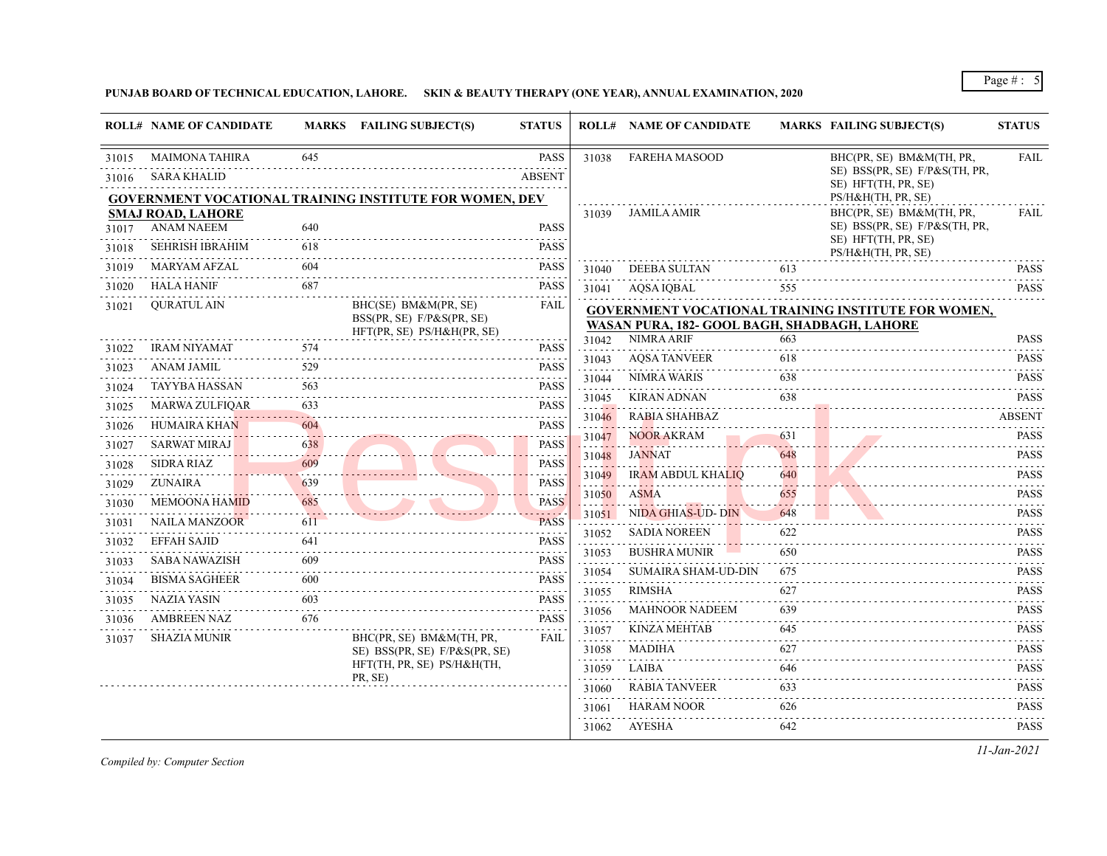## **PUNJAB BOARD OF TECHNICAL EDUCATION, LAHORE. SKIN & BEAUTY THERAPY (ONE YEAR), ANNUAL EXAMINATION, 2020**

| <b>FAREHA MASOOD</b><br>645<br><b>PASS</b><br>BHC(PR, SE) BM&M(TH, PR,<br>MAIMONA TAHIRA<br>31038<br>SE) BSS(PR, SE) F/P&S(TH, PR,<br><b>ABSENT</b><br>SARA KHALID<br>SE) HFT(TH, PR, SE)<br>PS/H&H(TH, PR, SE)<br><b>GOVERNMENT VOCATIONAL TRAINING INSTITUTE FOR WOMEN, DEV</b><br><b>JAMILA AMIR</b><br>BHC(PR, SE) BM&M(TH, PR,<br><b>SMAJ ROAD, LAHORE</b><br>31039<br>SE) BSS(PR, SE) F/P&S(TH, PR,<br>ANAM NAEEM<br>640<br>PASS<br>SE) HFT(TH, PR, SE)<br><b>SEHRISH IBRAHIM</b><br><b>PASS</b><br>618<br>31018<br>PS/H&H(TH, PR, SE)<br><b>PASS</b><br><b>MARYAM AFZAL</b><br>604<br>31019<br>DEEBA SULTAN<br>613<br>31040<br>687<br>HALA HANIF<br>PASS<br>31020<br>AQSA IQBAL<br>555<br>31041<br><b>OURATUL AIN</b><br>BHC(SE) BM&M(PR, SE)<br>FAIL<br>31021<br><b>GOVERNMENT VOCATIONAL TRAINING INSTITUTE FOR WOMEN,</b><br>BSS(PR, SE) F/P&S(PR, SE)<br>WASAN PURA, 182- GOOL BAGH, SHADBAGH, LAHORE<br>HFT(PR, SE) PS/H&H(PR, SE)<br><b>NIMRA ARIF</b><br>663<br>31042<br><b>IRAM NIYAMAT</b><br>574<br>PASS<br><b>AQSA TANVEER</b><br>31043<br>618<br>529<br><b>ANAM JAMIL</b><br><b>PASS</b><br>NIMRA WARIS<br>31044<br>638<br><b>PASS</b><br>TAYYBA HASSAN<br>563<br>31024<br><b>KIRAN ADNAN</b><br>638<br>31045<br><b>MARWA ZULFIQAR</b><br>633<br>PASS<br>31025<br><b>RABIA SHAHBAZ</b><br>31046<br><b>HUMAIRA KHAN</b><br>604<br><b>PASS</b><br>31026<br>631<br><b>NOOR AKRAM</b><br>31047<br>$-1 - 1 - 1$<br><b>SARWAT MIRAJ</b><br><b>PASS</b><br>638<br>31027<br><b>JANNAT</b><br>648<br>31048<br>609<br>PASS<br>SIDRA RIAZ<br>31028<br>.<br>.<br><b>IRAM ABDUL KHALIQ</b><br>640<br>الدالات الداري<br>31049<br><b>ZUNAIRA</b><br>639<br><b>PASS</b><br>31029<br>.<br>31050<br>ASMA<br>655<br>685<br><b>MEMOONA HAMID</b><br><b>PASS</b><br>31030<br>11 L L<br>NIDA GHIAS-UD- DIN<br>648<br>31051<br><b>PASS</b><br>NAILA MANZOOR<br>611<br>31031<br><b>SADIA NOREEN</b><br>622<br>31052<br><b>EFFAH SAJID</b><br><b>PASS</b><br>641<br>31032<br><b>BUSHRA MUNIR</b><br>650<br>31053<br>.<br><b>SABA NAWAZISH</b><br>609<br><b>PASS</b><br>31033<br>.<br><b>SUMAIRA SHAM-UD-DIN</b><br>675<br>31054<br>$\frac{1}{2} \left( \frac{1}{2} \right) \left( \frac{1}{2} \right) \left( \frac{1}{2} \right) \left( \frac{1}{2} \right) \left( \frac{1}{2} \right)$<br>600<br><b>PASS</b><br><b>BISMA SAGHEER</b><br>31034<br>.<br>RIMSHA<br>627<br>31055<br>603<br>PASS<br>NAZIA YASIN<br>31035<br>2.2.2.2.2.1<br><b>MAHNOOR NADEEM</b><br>639<br>31056<br>.<br>AMBREEN NAZ<br>676<br><b>PASS</b><br>31036<br><b>KINZA MEHTAB</b><br>31057<br>645<br><b>SHAZIA MUNIR</b><br>BHC(PR, SE) BM&M(TH, PR,<br>FAIL<br>31037<br>.<br>627<br>MADIHA<br>31058<br>SE) BSS(PR, SE) F/P&S(PR, SE)<br>HFT(TH, PR, SE) PS/H&H(TH,<br>LAIBA<br>646<br>31059<br>PR, SE)<br><b>RABIA TANVEER</b><br>633<br>31060<br>HARAM NOOR<br>626<br>31061<br>AYESHA<br>31062<br>642 |       | <b>ROLL# NAME OF CANDIDATE</b> | MARKS FAILING SUBJECT(S) | <b>STATUS</b> | <b>ROLL# NAME OF CANDIDATE</b> | <b>MARKS FAILING SUBJECT(S)</b> | <b>STATUS</b>                      |
|------------------------------------------------------------------------------------------------------------------------------------------------------------------------------------------------------------------------------------------------------------------------------------------------------------------------------------------------------------------------------------------------------------------------------------------------------------------------------------------------------------------------------------------------------------------------------------------------------------------------------------------------------------------------------------------------------------------------------------------------------------------------------------------------------------------------------------------------------------------------------------------------------------------------------------------------------------------------------------------------------------------------------------------------------------------------------------------------------------------------------------------------------------------------------------------------------------------------------------------------------------------------------------------------------------------------------------------------------------------------------------------------------------------------------------------------------------------------------------------------------------------------------------------------------------------------------------------------------------------------------------------------------------------------------------------------------------------------------------------------------------------------------------------------------------------------------------------------------------------------------------------------------------------------------------------------------------------------------------------------------------------------------------------------------------------------------------------------------------------------------------------------------------------------------------------------------------------------------------------------------------------------------------------------------------------------------------------------------------------------------------------------------------------------------------------------------------------------------------------------------------------------------------------------------------------------------------------------------------------------------------------------------------------------------------------------------------------------------------------------------------------------------------------------------------------------------------------------------------------------|-------|--------------------------------|--------------------------|---------------|--------------------------------|---------------------------------|------------------------------------|
|                                                                                                                                                                                                                                                                                                                                                                                                                                                                                                                                                                                                                                                                                                                                                                                                                                                                                                                                                                                                                                                                                                                                                                                                                                                                                                                                                                                                                                                                                                                                                                                                                                                                                                                                                                                                                                                                                                                                                                                                                                                                                                                                                                                                                                                                                                                                                                                                                                                                                                                                                                                                                                                                                                                                                                                                                                                                        | 31015 |                                |                          |               |                                |                                 | <b>FAIL</b>                        |
|                                                                                                                                                                                                                                                                                                                                                                                                                                                                                                                                                                                                                                                                                                                                                                                                                                                                                                                                                                                                                                                                                                                                                                                                                                                                                                                                                                                                                                                                                                                                                                                                                                                                                                                                                                                                                                                                                                                                                                                                                                                                                                                                                                                                                                                                                                                                                                                                                                                                                                                                                                                                                                                                                                                                                                                                                                                                        | 31016 |                                |                          |               |                                |                                 |                                    |
|                                                                                                                                                                                                                                                                                                                                                                                                                                                                                                                                                                                                                                                                                                                                                                                                                                                                                                                                                                                                                                                                                                                                                                                                                                                                                                                                                                                                                                                                                                                                                                                                                                                                                                                                                                                                                                                                                                                                                                                                                                                                                                                                                                                                                                                                                                                                                                                                                                                                                                                                                                                                                                                                                                                                                                                                                                                                        |       |                                |                          |               |                                |                                 |                                    |
|                                                                                                                                                                                                                                                                                                                                                                                                                                                                                                                                                                                                                                                                                                                                                                                                                                                                                                                                                                                                                                                                                                                                                                                                                                                                                                                                                                                                                                                                                                                                                                                                                                                                                                                                                                                                                                                                                                                                                                                                                                                                                                                                                                                                                                                                                                                                                                                                                                                                                                                                                                                                                                                                                                                                                                                                                                                                        | 31017 |                                |                          |               |                                |                                 | <b>FAIL</b>                        |
|                                                                                                                                                                                                                                                                                                                                                                                                                                                                                                                                                                                                                                                                                                                                                                                                                                                                                                                                                                                                                                                                                                                                                                                                                                                                                                                                                                                                                                                                                                                                                                                                                                                                                                                                                                                                                                                                                                                                                                                                                                                                                                                                                                                                                                                                                                                                                                                                                                                                                                                                                                                                                                                                                                                                                                                                                                                                        |       |                                |                          |               |                                |                                 | .                                  |
|                                                                                                                                                                                                                                                                                                                                                                                                                                                                                                                                                                                                                                                                                                                                                                                                                                                                                                                                                                                                                                                                                                                                                                                                                                                                                                                                                                                                                                                                                                                                                                                                                                                                                                                                                                                                                                                                                                                                                                                                                                                                                                                                                                                                                                                                                                                                                                                                                                                                                                                                                                                                                                                                                                                                                                                                                                                                        |       |                                |                          |               |                                |                                 | <b>PASS</b><br>.                   |
|                                                                                                                                                                                                                                                                                                                                                                                                                                                                                                                                                                                                                                                                                                                                                                                                                                                                                                                                                                                                                                                                                                                                                                                                                                                                                                                                                                                                                                                                                                                                                                                                                                                                                                                                                                                                                                                                                                                                                                                                                                                                                                                                                                                                                                                                                                                                                                                                                                                                                                                                                                                                                                                                                                                                                                                                                                                                        |       |                                |                          |               |                                |                                 | <b>PASS</b>                        |
|                                                                                                                                                                                                                                                                                                                                                                                                                                                                                                                                                                                                                                                                                                                                                                                                                                                                                                                                                                                                                                                                                                                                                                                                                                                                                                                                                                                                                                                                                                                                                                                                                                                                                                                                                                                                                                                                                                                                                                                                                                                                                                                                                                                                                                                                                                                                                                                                                                                                                                                                                                                                                                                                                                                                                                                                                                                                        |       |                                |                          |               |                                |                                 |                                    |
|                                                                                                                                                                                                                                                                                                                                                                                                                                                                                                                                                                                                                                                                                                                                                                                                                                                                                                                                                                                                                                                                                                                                                                                                                                                                                                                                                                                                                                                                                                                                                                                                                                                                                                                                                                                                                                                                                                                                                                                                                                                                                                                                                                                                                                                                                                                                                                                                                                                                                                                                                                                                                                                                                                                                                                                                                                                                        |       |                                |                          |               |                                |                                 | <b>PASS</b>                        |
|                                                                                                                                                                                                                                                                                                                                                                                                                                                                                                                                                                                                                                                                                                                                                                                                                                                                                                                                                                                                                                                                                                                                                                                                                                                                                                                                                                                                                                                                                                                                                                                                                                                                                                                                                                                                                                                                                                                                                                                                                                                                                                                                                                                                                                                                                                                                                                                                                                                                                                                                                                                                                                                                                                                                                                                                                                                                        | 31022 |                                |                          |               |                                |                                 | <b>PASS</b>                        |
|                                                                                                                                                                                                                                                                                                                                                                                                                                                                                                                                                                                                                                                                                                                                                                                                                                                                                                                                                                                                                                                                                                                                                                                                                                                                                                                                                                                                                                                                                                                                                                                                                                                                                                                                                                                                                                                                                                                                                                                                                                                                                                                                                                                                                                                                                                                                                                                                                                                                                                                                                                                                                                                                                                                                                                                                                                                                        | 31023 |                                |                          |               |                                |                                 | <b>PASS</b>                        |
|                                                                                                                                                                                                                                                                                                                                                                                                                                                                                                                                                                                                                                                                                                                                                                                                                                                                                                                                                                                                                                                                                                                                                                                                                                                                                                                                                                                                                                                                                                                                                                                                                                                                                                                                                                                                                                                                                                                                                                                                                                                                                                                                                                                                                                                                                                                                                                                                                                                                                                                                                                                                                                                                                                                                                                                                                                                                        |       |                                |                          |               |                                |                                 | <b>PASS</b>                        |
|                                                                                                                                                                                                                                                                                                                                                                                                                                                                                                                                                                                                                                                                                                                                                                                                                                                                                                                                                                                                                                                                                                                                                                                                                                                                                                                                                                                                                                                                                                                                                                                                                                                                                                                                                                                                                                                                                                                                                                                                                                                                                                                                                                                                                                                                                                                                                                                                                                                                                                                                                                                                                                                                                                                                                                                                                                                                        |       |                                |                          |               |                                |                                 | $- - - - - - - -$<br><b>ABSENT</b> |
|                                                                                                                                                                                                                                                                                                                                                                                                                                                                                                                                                                                                                                                                                                                                                                                                                                                                                                                                                                                                                                                                                                                                                                                                                                                                                                                                                                                                                                                                                                                                                                                                                                                                                                                                                                                                                                                                                                                                                                                                                                                                                                                                                                                                                                                                                                                                                                                                                                                                                                                                                                                                                                                                                                                                                                                                                                                                        |       |                                |                          |               |                                |                                 | .<br><b>PASS</b>                   |
|                                                                                                                                                                                                                                                                                                                                                                                                                                                                                                                                                                                                                                                                                                                                                                                                                                                                                                                                                                                                                                                                                                                                                                                                                                                                                                                                                                                                                                                                                                                                                                                                                                                                                                                                                                                                                                                                                                                                                                                                                                                                                                                                                                                                                                                                                                                                                                                                                                                                                                                                                                                                                                                                                                                                                                                                                                                                        |       |                                |                          |               |                                |                                 | .<br><b>PASS</b>                   |
|                                                                                                                                                                                                                                                                                                                                                                                                                                                                                                                                                                                                                                                                                                                                                                                                                                                                                                                                                                                                                                                                                                                                                                                                                                                                                                                                                                                                                                                                                                                                                                                                                                                                                                                                                                                                                                                                                                                                                                                                                                                                                                                                                                                                                                                                                                                                                                                                                                                                                                                                                                                                                                                                                                                                                                                                                                                                        |       |                                |                          |               |                                |                                 | .<br><b>PASS</b>                   |
|                                                                                                                                                                                                                                                                                                                                                                                                                                                                                                                                                                                                                                                                                                                                                                                                                                                                                                                                                                                                                                                                                                                                                                                                                                                                                                                                                                                                                                                                                                                                                                                                                                                                                                                                                                                                                                                                                                                                                                                                                                                                                                                                                                                                                                                                                                                                                                                                                                                                                                                                                                                                                                                                                                                                                                                                                                                                        |       |                                |                          |               |                                |                                 | <b>PASS</b>                        |
|                                                                                                                                                                                                                                                                                                                                                                                                                                                                                                                                                                                                                                                                                                                                                                                                                                                                                                                                                                                                                                                                                                                                                                                                                                                                                                                                                                                                                                                                                                                                                                                                                                                                                                                                                                                                                                                                                                                                                                                                                                                                                                                                                                                                                                                                                                                                                                                                                                                                                                                                                                                                                                                                                                                                                                                                                                                                        |       |                                |                          |               |                                |                                 | <b>PASS</b>                        |
|                                                                                                                                                                                                                                                                                                                                                                                                                                                                                                                                                                                                                                                                                                                                                                                                                                                                                                                                                                                                                                                                                                                                                                                                                                                                                                                                                                                                                                                                                                                                                                                                                                                                                                                                                                                                                                                                                                                                                                                                                                                                                                                                                                                                                                                                                                                                                                                                                                                                                                                                                                                                                                                                                                                                                                                                                                                                        |       |                                |                          |               |                                |                                 | <b>PASS</b>                        |
|                                                                                                                                                                                                                                                                                                                                                                                                                                                                                                                                                                                                                                                                                                                                                                                                                                                                                                                                                                                                                                                                                                                                                                                                                                                                                                                                                                                                                                                                                                                                                                                                                                                                                                                                                                                                                                                                                                                                                                                                                                                                                                                                                                                                                                                                                                                                                                                                                                                                                                                                                                                                                                                                                                                                                                                                                                                                        |       |                                |                          |               |                                |                                 | <b>PASS</b>                        |
|                                                                                                                                                                                                                                                                                                                                                                                                                                                                                                                                                                                                                                                                                                                                                                                                                                                                                                                                                                                                                                                                                                                                                                                                                                                                                                                                                                                                                                                                                                                                                                                                                                                                                                                                                                                                                                                                                                                                                                                                                                                                                                                                                                                                                                                                                                                                                                                                                                                                                                                                                                                                                                                                                                                                                                                                                                                                        |       |                                |                          |               |                                |                                 | <b>PASS</b>                        |
|                                                                                                                                                                                                                                                                                                                                                                                                                                                                                                                                                                                                                                                                                                                                                                                                                                                                                                                                                                                                                                                                                                                                                                                                                                                                                                                                                                                                                                                                                                                                                                                                                                                                                                                                                                                                                                                                                                                                                                                                                                                                                                                                                                                                                                                                                                                                                                                                                                                                                                                                                                                                                                                                                                                                                                                                                                                                        |       |                                |                          |               |                                |                                 | <b>PASS</b>                        |
|                                                                                                                                                                                                                                                                                                                                                                                                                                                                                                                                                                                                                                                                                                                                                                                                                                                                                                                                                                                                                                                                                                                                                                                                                                                                                                                                                                                                                                                                                                                                                                                                                                                                                                                                                                                                                                                                                                                                                                                                                                                                                                                                                                                                                                                                                                                                                                                                                                                                                                                                                                                                                                                                                                                                                                                                                                                                        |       |                                |                          |               |                                |                                 | <b>PASS</b>                        |
|                                                                                                                                                                                                                                                                                                                                                                                                                                                                                                                                                                                                                                                                                                                                                                                                                                                                                                                                                                                                                                                                                                                                                                                                                                                                                                                                                                                                                                                                                                                                                                                                                                                                                                                                                                                                                                                                                                                                                                                                                                                                                                                                                                                                                                                                                                                                                                                                                                                                                                                                                                                                                                                                                                                                                                                                                                                                        |       |                                |                          |               |                                |                                 | <b>PASS</b>                        |
|                                                                                                                                                                                                                                                                                                                                                                                                                                                                                                                                                                                                                                                                                                                                                                                                                                                                                                                                                                                                                                                                                                                                                                                                                                                                                                                                                                                                                                                                                                                                                                                                                                                                                                                                                                                                                                                                                                                                                                                                                                                                                                                                                                                                                                                                                                                                                                                                                                                                                                                                                                                                                                                                                                                                                                                                                                                                        |       |                                |                          |               |                                |                                 | <b>PASS</b>                        |
|                                                                                                                                                                                                                                                                                                                                                                                                                                                                                                                                                                                                                                                                                                                                                                                                                                                                                                                                                                                                                                                                                                                                                                                                                                                                                                                                                                                                                                                                                                                                                                                                                                                                                                                                                                                                                                                                                                                                                                                                                                                                                                                                                                                                                                                                                                                                                                                                                                                                                                                                                                                                                                                                                                                                                                                                                                                                        |       |                                |                          |               |                                |                                 | <b>PASS</b><br>.                   |
|                                                                                                                                                                                                                                                                                                                                                                                                                                                                                                                                                                                                                                                                                                                                                                                                                                                                                                                                                                                                                                                                                                                                                                                                                                                                                                                                                                                                                                                                                                                                                                                                                                                                                                                                                                                                                                                                                                                                                                                                                                                                                                                                                                                                                                                                                                                                                                                                                                                                                                                                                                                                                                                                                                                                                                                                                                                                        |       |                                |                          |               |                                |                                 | <b>PASS</b><br>.                   |
|                                                                                                                                                                                                                                                                                                                                                                                                                                                                                                                                                                                                                                                                                                                                                                                                                                                                                                                                                                                                                                                                                                                                                                                                                                                                                                                                                                                                                                                                                                                                                                                                                                                                                                                                                                                                                                                                                                                                                                                                                                                                                                                                                                                                                                                                                                                                                                                                                                                                                                                                                                                                                                                                                                                                                                                                                                                                        |       |                                |                          |               |                                |                                 | <b>PASS</b>                        |
|                                                                                                                                                                                                                                                                                                                                                                                                                                                                                                                                                                                                                                                                                                                                                                                                                                                                                                                                                                                                                                                                                                                                                                                                                                                                                                                                                                                                                                                                                                                                                                                                                                                                                                                                                                                                                                                                                                                                                                                                                                                                                                                                                                                                                                                                                                                                                                                                                                                                                                                                                                                                                                                                                                                                                                                                                                                                        |       |                                |                          |               |                                |                                 | <b>PASS</b>                        |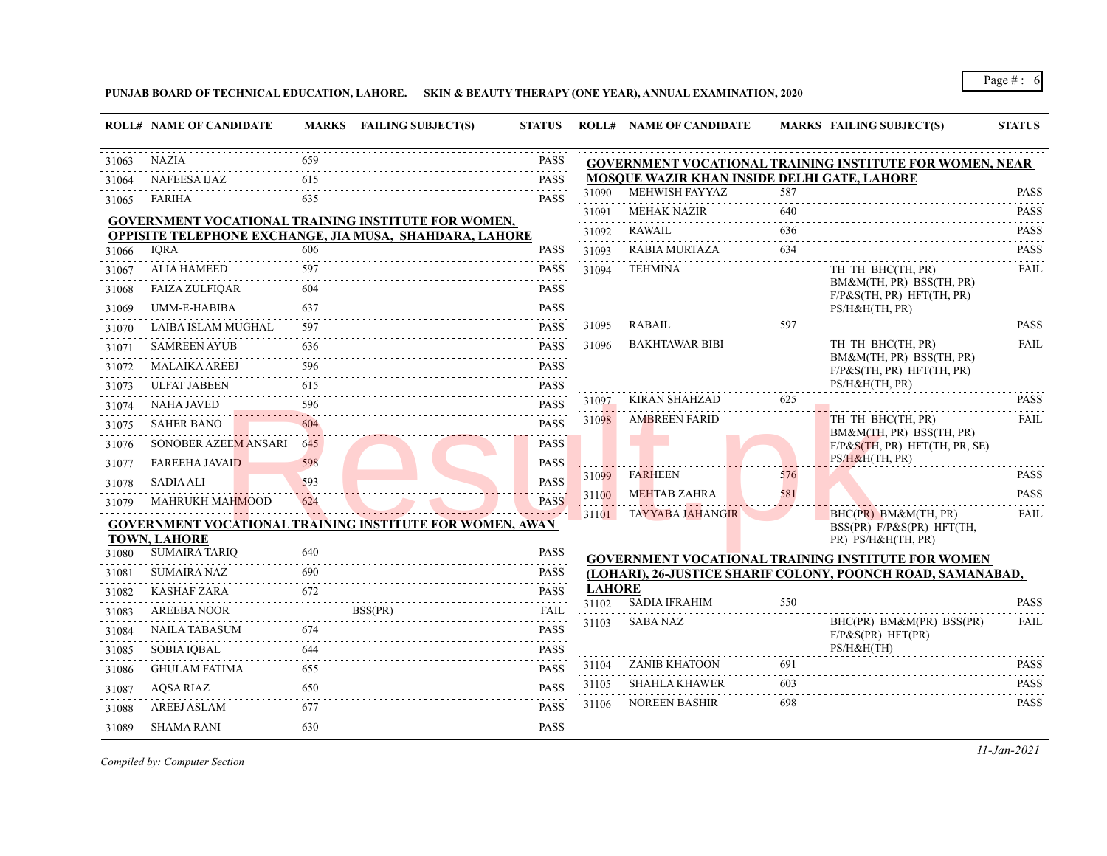**PUNJAB BOARD OF TECHNICAL EDUCATION, LAHORE. SKIN & BEAUTY THERAPY (ONE YEAR), ANNUAL EXAMINATION, 2020**

|       | <b>ROLL# NAME OF CANDIDATE</b> |     | MARKS FAILING SUBJECT(S)                                       | <b>STATUS</b>              |               | <b>ROLL# NAME OF CANDIDATE</b>              |          | <b>MARKS FAILING SUBJECT(S)</b>                                         | <b>STATUS</b>    |
|-------|--------------------------------|-----|----------------------------------------------------------------|----------------------------|---------------|---------------------------------------------|----------|-------------------------------------------------------------------------|------------------|
| 31063 | <b>NAZIA</b>                   | 659 |                                                                | <b>PASS</b>                |               |                                             |          | <b>GOVERNMENT VOCATIONAL TRAINING INSTITUTE FOR WOMEN, NEAR</b>         |                  |
| 31064 | <b>NAFEESA IJAZ</b>            | 615 |                                                                | .<br><b>PASS</b>           |               | MOSQUE WAZIR KHAN INSIDE DELHI GATE, LAHORE |          |                                                                         |                  |
| 31065 | FARIHA                         | 635 |                                                                | .<br><b>PASS</b>           | 31090         | MEHWISH FAYYAZ                              | 587      |                                                                         | <b>PASS</b><br>. |
|       |                                |     | <b>GOVERNMENT VOCATIONAL TRAINING INSTITUTE FOR WOMEN,</b>     |                            | 31091<br>.    | <b>MEHAK NAZIR</b>                          | 640      |                                                                         | <b>PASS</b>      |
|       |                                |     | <b>OPPISITE TELEPHONE EXCHANGE, JIA MUSA, SHAHDARA, LAHORE</b> |                            | 31092         | <b>RAWAIL</b>                               | 636      |                                                                         | <b>PASS</b><br>. |
| 31066 | <b>IORA</b>                    | 606 |                                                                | <b>PASS</b>                | 31093         | RABIA MURTAZA                               | 634      |                                                                         | <b>PASS</b>      |
| 31067 | <b>ALIA HAMEED</b>             | 597 |                                                                | <b>PASS</b>                | 31094         | <b>TEHMINA</b>                              |          | TH TH BHC(TH, PR)                                                       | <b>FAIL</b>      |
| 31068 | <b>FAIZA ZULFIOAR</b>          | 604 |                                                                | <b>PASS</b>                |               |                                             |          | BM&M(TH, PR) BSS(TH, PR)<br>$F/P\&S(TH, PR) HFT(TH, PR)$                |                  |
| 31069 | UMM-E-HABIBA                   | 637 |                                                                | .<br><b>PASS</b>           |               |                                             |          | PS/H&H(TH, PR)                                                          |                  |
| 31070 | LAIBA ISLAM MUGHAL             | 597 |                                                                | <b>PASS</b>                | 31095         | RABAIL                                      | 597      |                                                                         | <b>PASS</b>      |
| 31071 | <b>SAMREEN AYUB</b>            | 636 |                                                                | .<br><b>PASS</b>           | 31096         | <b>BAKHTAWAR BIBI</b>                       |          | TH TH BHC(TH, PR)                                                       | FAIL             |
| 31072 | <b>MALAIKA AREEJ</b>           | 596 |                                                                | <b>PASS</b>                |               |                                             |          | BM&M(TH, PR) BSS(TH, PR)<br>$F/P\&S(TH, PR) HFT(TH, PR)$                |                  |
| 31073 | <b>ULFAT JABEEN</b>            | 615 |                                                                | <b>PASS</b>                |               |                                             |          | PS/H&H(TH, PR)                                                          |                  |
| 31074 | <b>NAHA JAVED</b>              | 596 |                                                                | <b>PASS</b>                | 31097         | <b>KIRAN SHAHZAD</b>                        | 625      |                                                                         | <b>PASS</b>      |
| 31075 | <b>SAHER BANO</b>              | 604 |                                                                | and a state<br><b>PASS</b> | 31098         | <b>AMBREEN FARID</b>                        |          | TH TH BHC(TH, PR)                                                       | <b>FAIL</b>      |
| 31076 | SONOBER AZEEM ANSARI           | 645 |                                                                | <b>PASS</b>                |               |                                             |          | BM&M(TH, PR) BSS(TH, PR)<br>F/P&S(TH, PR) HFT(TH, PR, SE)               |                  |
| 31077 | <b>FAREEHA JAVAID</b>          | 598 |                                                                | .<br><b>PASS</b>           |               |                                             |          | PS/H&H(TH, PR)                                                          |                  |
| 31078 | <b>SADIA ALI</b>               | 593 |                                                                | <b>PASS</b>                | 31099         | <b>FARHEEN</b>                              | 576      |                                                                         | <b>PASS</b><br>. |
| 31079 | <b>MAHRUKH MAHMOOD</b>         | 624 |                                                                | <b>PASS</b>                | 31100         | MEHTAB ZAHRA                                | 581      |                                                                         | <b>PASS</b>      |
|       | <b>TOWN, LAHORE</b>            |     | GOVERNMENT VOCATIONAL TRAINING INSTITUTE FOR WOMEN, AWAN       |                            |               | 31101 TAYYABA JAHANGIR                      |          | BHC(PR) BM&M(TH, PR)<br>BSS(PR) F/P&S(PR) HFT(TH,<br>PR) PS/H&H(TH, PR) | <b>FAIL</b>      |
| 31080 | <b>SUMAIRA TARIQ</b>           | 640 |                                                                | <b>PASS</b><br>.           |               |                                             |          | <b>GOVERNMENT VOCATIONAL TRAINING INSTITUTE FOR WOMEN</b>               |                  |
| 31081 | SUMAIRA NAZ                    | 690 |                                                                | <b>PASS</b>                |               |                                             |          | (LOHARI), 26-JUSTICE SHARIF COLONY, POONCH ROAD, SAMANABAD,             |                  |
| 31082 | <b>KASHAF ZARA</b>             | 672 |                                                                | <b>PASS</b>                | <b>LAHORE</b> |                                             |          |                                                                         |                  |
| 31083 | <b>AREEBA NOOR</b>             |     | BSS(PR)                                                        | <b>FAIL</b>                | 31102         | <b>SADIA IFRAHIM</b>                        | 550      |                                                                         | <b>PASS</b>      |
| 31084 | <b>NAILA TABASUM</b>           | 674 |                                                                | <b>PASS</b>                | 31103         | <b>SABA NAZ</b>                             |          | BHC(PR) BM&M(PR) BSS(PR)<br>F/P&S(PR) HFT(PR)                           | <b>FAIL</b>      |
| 31085 | <b>SOBIA IOBAL</b>             | 644 |                                                                | .<br><b>PASS</b>           |               |                                             |          | PS/H&H(TH)                                                              |                  |
| 31086 | <b>GHULAM FATIMA</b>           | 655 |                                                                | <b>PASS</b>                | 31104         | <b>ZANIB KHATOON</b>                        | 691      |                                                                         | <b>PASS</b>      |
| 31087 | AQSA RIAZ                      | 650 |                                                                | <b>PASS</b>                | 31105         | <b>SHAHLA KHAWER</b>                        | 603<br>. |                                                                         | <b>PASS</b><br>. |
| 31088 | <b>AREEJ ASLAM</b>             | 677 |                                                                | <b>PASS</b>                | 31106         | NOREEN BASHIR                               | 698      |                                                                         | <b>PASS</b>      |
| 31089 | <b>SHAMA RANI</b>              | 630 |                                                                | <b>PASS</b>                |               |                                             |          |                                                                         |                  |

*Compiled by: Computer Section*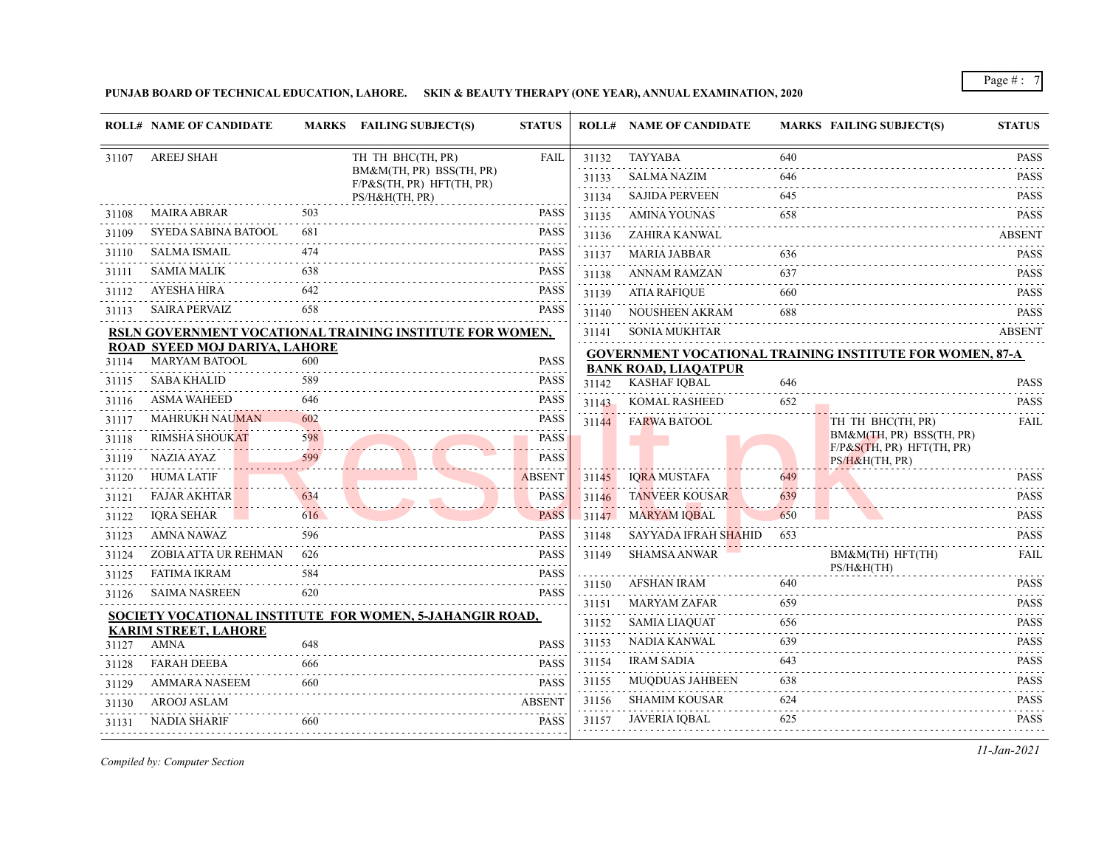**PUNJAB BOARD OF TECHNICAL EDUCATION, LAHORE. SKIN & BEAUTY THERAPY (ONE YEAR), ANNUAL EXAMINATION, 2020**

|       | <b>ROLL# NAME OF CANDIDATE</b>             |     | <b>MARKS FAILING SUBJECT(S)</b>                          | <b>STATUS</b> |       | <b>ROLL# NAME OF CANDIDATE</b> |     | <b>MARKS FAILING SUBJECT(S)</b>                                 | <b>STATUS</b>                                                                                                                                       |
|-------|--------------------------------------------|-----|----------------------------------------------------------|---------------|-------|--------------------------------|-----|-----------------------------------------------------------------|-----------------------------------------------------------------------------------------------------------------------------------------------------|
| 31107 | <b>AREEJ SHAH</b>                          |     | TH TH BHC(TH, PR)                                        | <b>FAIL</b>   | 31132 | <b>TAYYABA</b>                 | 640 |                                                                 | <b>PASS</b>                                                                                                                                         |
|       |                                            |     | BM&M(TH, PR) BSS(TH, PR)<br>F/P&S(TH, PR) HFT(TH, PR)    |               | 31133 | <b>SALMA NAZIM</b>             | 646 |                                                                 | <b>PASS</b><br>.                                                                                                                                    |
|       |                                            |     | PS/H&H(TH, PR)                                           |               | 31134 | <b>SAJIDA PERVEEN</b>          | 645 |                                                                 | <b>PASS</b><br>.                                                                                                                                    |
| 31108 | <b>MAIRA ABRAR</b>                         | 503 |                                                          | <b>PASS</b>   | 31135 | <b>AMINA YOUNAS</b>            | 658 |                                                                 | <b>PASS</b>                                                                                                                                         |
| 31109 | <b>SYEDA SABINA BATOOL</b>                 | 681 |                                                          | <b>PASS</b>   | 31136 | ZAHIRA KANWAL                  |     |                                                                 | <b>ABSENT</b>                                                                                                                                       |
| 31110 | <b>SALMA ISMAIL</b>                        | 474 |                                                          | <b>PASS</b>   | 31137 | <b>MARIA JABBAR</b>            | 636 |                                                                 | <b>PASS</b>                                                                                                                                         |
| 31111 | <b>SAMIA MALIK</b>                         |     |                                                          | <b>PASS</b>   | 31138 | <b>ANNAM RAMZAN</b>            | 637 |                                                                 | <b>PASS</b>                                                                                                                                         |
| 31112 | <b>AYESHA HIRA</b>                         | 642 |                                                          | <b>PASS</b>   | 31139 | <b>ATIA RAFIQUE</b>            | 660 |                                                                 | <b>PASS</b>                                                                                                                                         |
| 31113 | <b>SAIRA PERVAIZ</b>                       | 658 |                                                          | <b>PASS</b>   | 31140 | <b>NOUSHEEN AKRAM</b>          | 688 |                                                                 | <b>PASS</b>                                                                                                                                         |
|       |                                            |     | RSLN GOVERNMENT VOCATIONAL TRAINING INSTITUTE FOR WOMEN, |               | 31141 | <b>SONIA MUKHTAR</b>           |     |                                                                 | <b>ABSENT</b>                                                                                                                                       |
|       | ROAD SYEED MOJ DARIYA, LAHORE              |     |                                                          |               |       |                                |     | <b>GOVERNMENT VOCATIONAL TRAINING INSTITUTE FOR WOMEN, 87-A</b> |                                                                                                                                                     |
| 31114 | <b>MARYAM BATOOL</b>                       | 600 |                                                          | <b>PASS</b>   |       | <b>BANK ROAD, LIAQATPUR</b>    |     |                                                                 |                                                                                                                                                     |
| 31115 | <b>SABA KHALID</b>                         | 589 |                                                          | <b>PASS</b>   | 31142 | <b>KASHAF IOBAL</b>            | 646 |                                                                 | <b>PASS</b>                                                                                                                                         |
| 31116 | <b>ASMA WAHEED</b>                         | 646 |                                                          | <b>PASS</b>   | 31143 | <b>KOMAL RASHEED</b>           | 652 |                                                                 | <b>PASS</b>                                                                                                                                         |
| 31117 | <b>MAHRUKH NAUMAN</b>                      | 602 |                                                          | PASS          | 31144 | <b>FARWA BATOOL</b>            |     | TH TH BHC(TH, PR)<br>BM&M(TH, PR) BSS(TH, PR)                   | <b>FAIL</b>                                                                                                                                         |
| 31118 | <b>RIMSHA SHOUKAT</b>                      | 598 |                                                          | <b>PASS</b>   |       |                                |     | F/P& S(TH, PR) HFT(TH, PR)                                      |                                                                                                                                                     |
| 31119 | <b>NAZIA AYAZ</b>                          | 599 |                                                          | <b>PASS</b>   |       |                                |     | PS/H&H(TH, PR)                                                  |                                                                                                                                                     |
| 31120 | <b>HUMA LATIF</b>                          |     |                                                          | <b>ABSENT</b> | 31145 | <b>IORA MUSTAFA</b>            | 649 |                                                                 | <b>PASS</b>                                                                                                                                         |
| 31121 | <b>FAJAR AKHTAR</b>                        | 634 |                                                          | <b>PASS</b>   | 31146 | <b>TANVEER KOUSAR</b>          | 639 |                                                                 | <b>PASS</b>                                                                                                                                         |
| 31122 | <b>IORA SEHAR</b>                          | 616 |                                                          | <b>PASS</b>   | 31147 | <b>MARYAM IQBAL</b>            | 650 |                                                                 | <b>PASS</b><br>د د د د د                                                                                                                            |
| 31123 | <b>AMNA NAWAZ</b>                          | 596 |                                                          | <b>PASS</b>   | 31148 | <b>SAYYADA IFRAH SHAHID</b>    | 653 |                                                                 | <b>PASS</b><br>$\mathcal{L}^{\mathcal{A}}\left( \mathcal{A}^{\mathcal{A}}\right) =\mathcal{L}^{\mathcal{A}}\left( \mathcal{A}^{\mathcal{A}}\right)$ |
| 31124 | ZOBIA ATTA UR REHMAN                       | 626 |                                                          | <b>PASS</b>   | 31149 | <b>SHAMSA ANWAR</b>            |     | BM&M(TH) HFT(TH)<br>PS/H&H(TH)                                  | <b>FAIL</b>                                                                                                                                         |
| 31125 | <b>FATIMA IKRAM</b>                        | 584 |                                                          | <b>PASS</b>   | 31150 | <b>AFSHAN IRAM</b>             | 640 |                                                                 | <b>PASS</b>                                                                                                                                         |
| 31126 | <b>SAIMA NASREEN</b>                       | 620 |                                                          | <b>PASS</b>   | 31151 | <b>MARYAM ZAFAR</b>            | 659 |                                                                 | <b>PASS</b>                                                                                                                                         |
|       |                                            |     | SOCIETY VOCATIONAL INSTITUTE FOR WOMEN, 5-JAHANGIR ROAD, |               | 31152 | <b>SAMIA LIAQUAT</b>           | 656 |                                                                 | <b>PASS</b>                                                                                                                                         |
| 31127 | <b>KARIM STREET, LAHORE</b><br><b>AMNA</b> | 648 |                                                          | <b>PASS</b>   | 31153 | NADIA KANWAL                   | 639 |                                                                 | <b>PASS</b>                                                                                                                                         |
| 31128 | <b>FARAH DEEBA</b>                         | 666 |                                                          | <b>PASS</b>   | 31154 | <b>IRAM SADIA</b>              | 643 |                                                                 | والمستحدث<br><b>PASS</b>                                                                                                                            |
| 31129 | AMMARA NASEEM                              | 660 |                                                          | <b>PASS</b>   | 31155 | <b>MUQDUAS JAHBEEN</b>         | 638 |                                                                 | $\alpha$ is a set of $\alpha$<br><b>PASS</b>                                                                                                        |
| 31130 | <b>AROOJ ASLAM</b>                         |     |                                                          | <b>ABSENT</b> | 31156 | <b>SHAMIM KOUSAR</b>           | 624 |                                                                 | <b>PASS</b>                                                                                                                                         |
| 31131 | NADIA SHARIF                               | 660 |                                                          | <b>PASS</b>   | 31157 | <b>JAVERIA IQBAL</b>           | 625 |                                                                 | والمستناد المناد<br><b>PASS</b>                                                                                                                     |
|       |                                            |     |                                                          |               |       |                                |     |                                                                 |                                                                                                                                                     |

*Compiled by: Computer Section*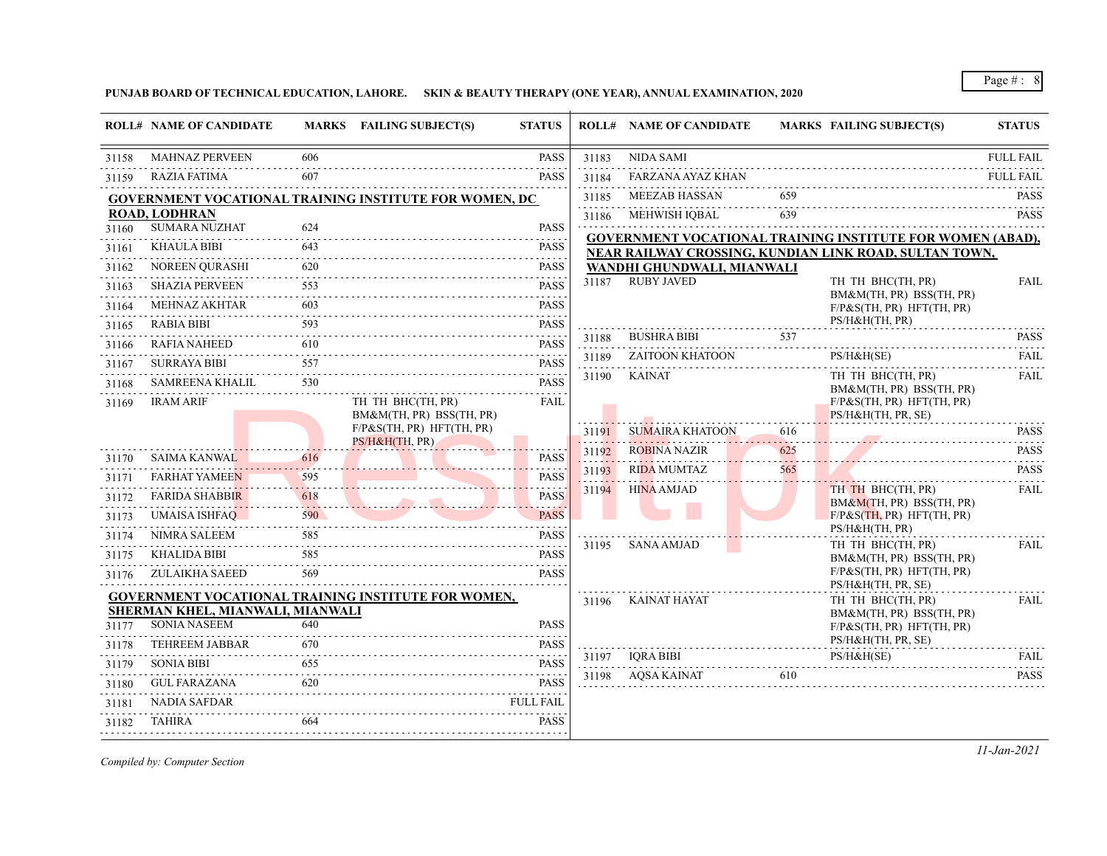**PUNJAB BOARD OF TECHNICAL EDUCATION, LAHORE. SKIN & BEAUTY THERAPY (ONE YEAR), ANNUAL EXAMINATION, 2020**

|       | <b>ROLL# NAME OF CANDIDATE</b>                          |                   | MARKS FAILING SUBJECT(S)                                      | <b>STATUS</b>               |       | <b>ROLL# NAME OF CANDIDATE</b>                  |     | <b>MARKS FAILING SUBJECT(S)</b>                                   | <b>STATUS</b>                |
|-------|---------------------------------------------------------|-------------------|---------------------------------------------------------------|-----------------------------|-------|-------------------------------------------------|-----|-------------------------------------------------------------------|------------------------------|
| 31158 | <b>MAHNAZ PERVEEN</b>                                   | 606               |                                                               | <b>PASS</b>                 | 31183 | <b>NIDA SAMI</b>                                |     |                                                                   | <b>FULL FAIL</b>             |
| 31159 | <b>RAZIA FATIMA</b>                                     | 607               |                                                               | <b>PASS</b>                 | 31184 | <b>FARZANA AYAZ KHAN</b>                        |     |                                                                   | <b>FULL FAIL</b><br><u>.</u> |
|       |                                                         |                   | <b>GOVERNMENT VOCATIONAL TRAINING INSTITUTE FOR WOMEN, DC</b> |                             | 31185 | <b>MEEZAB HASSAN</b>                            | 659 |                                                                   | <b>PASS</b>                  |
|       | <b>ROAD, LODHRAN</b>                                    |                   |                                                               |                             | 31186 | MEHWISH IOBAL                                   | 639 |                                                                   | <b>PASS</b>                  |
| 31160 | <b>SUMARA NUZHAT</b>                                    | 624               |                                                               | <b>PASS</b><br>.            |       |                                                 |     | <b>GOVERNMENT VOCATIONAL TRAINING INSTITUTE FOR WOMEN (ABAD),</b> |                              |
| 31161 | <b>KHAULA BIBI</b>                                      | 643               |                                                               | <b>PASS</b>                 |       |                                                 |     | NEAR RAILWAY CROSSING, KUNDIAN LINK ROAD, SULTAN TOWN,            |                              |
| 31162 | NOREEN QURASHI                                          | 620               |                                                               | <b>PASS</b>                 | 31187 | WANDHI GHUNDWALI, MIANWALI<br><b>RUBY JAVED</b> |     | TH TH BHC(TH, PR)                                                 | <b>FAIL</b>                  |
| 31163 | <b>SHAZIA PERVEEN</b>                                   | 553               |                                                               | <b>PASS</b>                 |       |                                                 |     | BM&M(TH, PR) BSS(TH, PR)                                          |                              |
| 31164 | <b>MEHNAZ AKHTAR</b>                                    | 603               |                                                               | <b>PASS</b>                 |       |                                                 |     | $F/P\&S(TH, PR) HFT(TH, PR)$<br>PS/H&H(TH, PR)                    |                              |
| 31165 | <b>RABIA BIBI</b>                                       | 593               |                                                               | <b>PASS</b><br>.            | 31188 | <b>BUSHRA BIBI</b>                              | 537 |                                                                   | <b>PASS</b>                  |
| 31166 | RAFIA NAHEED                                            | 610               |                                                               | <b>PASS</b><br>2.2.2.2.2    | 31189 | <b>ZAITOON KHATOON</b>                          |     | PS/H&H(SE)                                                        | <b>FAIL</b>                  |
| 31167 | <b>SURRAYA BIBI</b>                                     | 557               |                                                               | <b>PASS</b>                 | 31190 | KAINAT                                          |     | TH TH BHC(TH, PR)                                                 | $- - - - -$<br>FAIL          |
| 31168 | <b>SAMREENA KHALIL</b>                                  | 530               |                                                               | <b>PASS</b>                 |       |                                                 |     | BM&M(TH, PR) BSS(TH, PR)                                          |                              |
| 31169 | <b>IRAM ARIF</b>                                        |                   | TH TH BHC(TH, PR)<br>BM&M(TH, PR) BSS(TH, PR)                 | <b>FAIL</b>                 |       |                                                 |     | $F/P\&S(TH, PR) HFT(TH, PR)$<br>PS/H&H(TH, PR, SE)                |                              |
|       |                                                         |                   | $F/P\&S(TH, PR) HFT(TH, PR)$                                  |                             | 31191 | <b>SUMAIRA KHATOON</b>                          | 616 |                                                                   | <b>PASS</b>                  |
|       |                                                         |                   | PS/H&H(TH, PR)                                                |                             | 31192 | <b>ROBINA NAZIR</b>                             | 625 |                                                                   | .<br><b>PASS</b>             |
| 31170 | <b>SAIMA KANWAL</b>                                     | 616               |                                                               | <b>PASS</b>                 | 31193 | <b>RIDA MUMTAZ</b>                              | 565 |                                                                   | <b>PASS</b>                  |
| 31171 | <b>FARHAT YAMEEN</b>                                    | 595               |                                                               | <b>PASS</b>                 | 31194 | <b>HINA AMJAD</b>                               |     | TH TH BHC(TH, PR)                                                 | <b>FAIL</b>                  |
| 31172 | <b>FARIDA SHABBIR</b>                                   | 618<br>. <i>.</i> |                                                               | <b>PASS</b><br>. <u>.</u> . |       |                                                 |     | BM&M(TH, PR) BSS(TH, PR)                                          |                              |
| 31173 | UMAISA ISHFAQ                                           | 590               |                                                               | <b>PASS</b>                 |       |                                                 |     | $F/P\&S(TH, PR) HFT(TH, PR)$<br>PS/H&H(TH, PR)                    |                              |
| 31174 | NIMRA SALEEM                                            | 585               |                                                               | <b>PASS</b>                 | 31195 | SANA AMJAD                                      |     | TH TH BHC(TH, PR)                                                 | <b>FAIL</b>                  |
| 31175 | <b>KHALIDA BIBI</b>                                     | 585               |                                                               | <b>PASS</b>                 |       |                                                 |     | BM&M(TH, PR) BSS(TH, PR)                                          |                              |
| 31176 | ZULAIKHA SAEED                                          | 569               |                                                               | PASS                        |       |                                                 |     | $F/P\&S(TH, PR) HFT(TH, PR)$<br>PS/H&H(TH, PR, SE)                |                              |
|       |                                                         |                   | <b>GOVERNMENT VOCATIONAL TRAINING INSTITUTE FOR WOMEN,</b>    |                             | 31196 | KAINAT HAYAT                                    |     | TH TH BHC(TH, PR)                                                 | <b>FAIL</b>                  |
| 31177 | SHERMAN KHEL, MIANWALI, MIANWALI<br><b>SONIA NASEEM</b> | 640               |                                                               | <b>PASS</b>                 |       |                                                 |     | BM&M(TH, PR) BSS(TH, PR)<br>$F/P\&S(TH, PR) HFT(TH, PR)$          |                              |
| 31178 | <b>TEHREEM JABBAR</b>                                   | 670               |                                                               | <b>PASS</b>                 |       |                                                 |     | PS/H&H(TH, PR, SE)                                                |                              |
| 31179 | <b>SONIA BIBI</b>                                       | 655               |                                                               | .<br><b>PASS</b>            | 31197 | IORA BIBI                                       |     | PS/H&H(SE)                                                        | FAIL                         |
| 31180 | <b>GUL FARAZANA</b>                                     | 620               |                                                               | <u>.</u><br><b>PASS</b>     | 31198 | AOSA KAINAT                                     | 610 |                                                                   | <b>PASS</b>                  |
| 31181 | NADIA SAFDAR                                            |                   |                                                               | FULL FAIL                   |       |                                                 |     |                                                                   |                              |
| 31182 | TAHIRA                                                  | 664               |                                                               | <b>PASS</b>                 |       |                                                 |     |                                                                   |                              |
|       |                                                         |                   |                                                               |                             |       |                                                 |     |                                                                   |                              |

*Compiled by: Computer Section*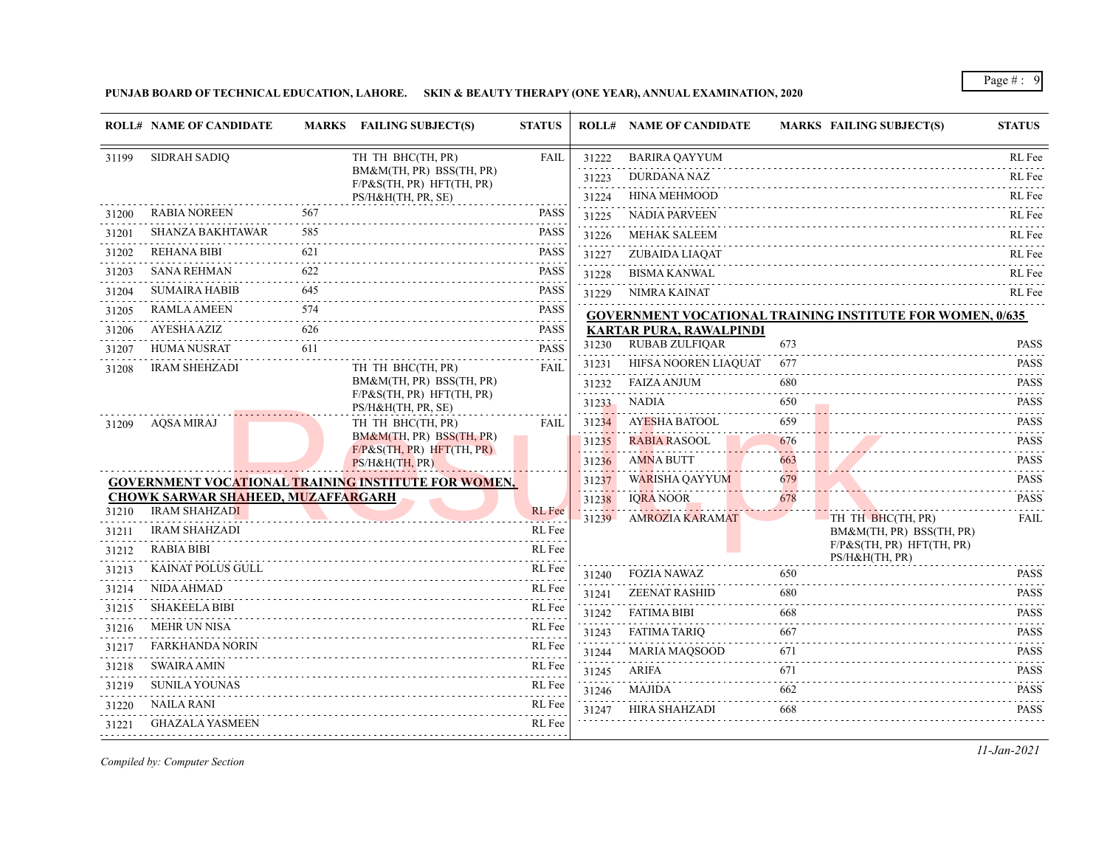**PUNJAB BOARD OF TECHNICAL EDUCATION, LAHORE. SKIN & BEAUTY THERAPY (ONE YEAR), ANNUAL EXAMINATION, 2020**

|                | <b>ROLL# NAME OF CANDIDATE</b>                                    |     | MARKS FAILING SUBJECT(S)                                 | <b>STATUS</b>            |       | <b>ROLL# NAME OF CANDIDATE</b> |     | <b>MARKS FAILING SUBJECT(S)</b>                                  | <b>STATUS</b>                                            |
|----------------|-------------------------------------------------------------------|-----|----------------------------------------------------------|--------------------------|-------|--------------------------------|-----|------------------------------------------------------------------|----------------------------------------------------------|
| 31199          | <b>SIDRAH SADIQ</b>                                               |     | TH TH BHC(TH, PR)                                        | <b>FAIL</b>              | 31222 | <b>BARIRA QAYYUM</b>           |     |                                                                  | RL Fee                                                   |
|                |                                                                   |     | BM&M(TH, PR) BSS(TH, PR)<br>$F/P\&S(TH, PR) HFT(TH, PR)$ |                          | 31223 | <b>DURDANA NAZ</b>             |     |                                                                  | RL Fee                                                   |
|                |                                                                   |     | PS/H&H(TH, PR, SE)                                       |                          | 31224 | HINA MEHMOOD                   |     |                                                                  | RL Fee                                                   |
| 31200          | <b>RABIA NOREEN</b>                                               | 567 |                                                          | <b>PASS</b>              | 31225 | <b>NADIA PARVEEN</b>           |     |                                                                  | RL Fee                                                   |
| 31201          | <b>SHANZA BAKHTAWAR</b>                                           | 585 |                                                          | <b>PASS</b>              | 31226 | <b>MEHAK SALEEM</b>            |     |                                                                  | RL Fee                                                   |
| 31202          | <b>REHANA BIBI</b>                                                | 621 |                                                          | <b>PASS</b>              | 31227 | ZUBAIDA LIAQAT                 |     |                                                                  | RL Fee                                                   |
| 31203          | <b>SANA REHMAN</b>                                                | 622 |                                                          | <b>PASS</b>              | 31228 | <b>BISMA KANWAL</b>            |     |                                                                  | RL Fee                                                   |
| 31204          | <b>SUMAIRA HABIB</b>                                              | 645 |                                                          | <b>PASS</b>              | 31229 | NIMRA KAINAT                   |     |                                                                  | RL Fee                                                   |
| 31205          | <b>RAMLA AMEEN</b>                                                | 574 |                                                          | <b>PASS</b>              |       |                                |     | <b>GOVERNMENT VOCATIONAL TRAINING INSTITUTE FOR WOMEN, 0/635</b> |                                                          |
| 31206          | AYESHA AZIZ                                                       | 626 |                                                          | <b>PASS</b><br>2.2.2.2.2 |       | <b>KARTAR PURA, RAWALPINDI</b> |     |                                                                  |                                                          |
| 31207          | <b>HUMA NUSRAT</b>                                                | 611 |                                                          | <b>PASS</b>              | 31230 | <b>RUBAB ZULFIQAR</b>          | 673 |                                                                  | <b>PASS</b><br>.                                         |
| 31208          | <b>IRAM SHEHZADI</b>                                              |     | TH TH BHC(TH, PR)                                        | <b>FAIL</b>              | 31231 | HIFSA NOOREN LIAQUAT           | 677 |                                                                  | <b>PASS</b><br>2.2.2.2.2.1                               |
|                |                                                                   |     | BM&M(TH, PR) BSS(TH, PR)<br>$F/P\&S(TH, PR) HFT(TH, PR)$ |                          | 31232 | <b>FAIZA ANJUM</b>             | 680 |                                                                  | <b>PASS</b>                                              |
|                |                                                                   |     | PS/H&H(TH, PR, SE)                                       |                          | 31233 | <b>NADIA</b>                   | 650 |                                                                  | <b>PASS</b><br>.                                         |
| 31209          | <b>AQSA MIRAJ</b>                                                 |     | TH TH BHC(TH, PR)                                        | FAIL.                    | 31234 | AYESHA BATOOL                  | 659 |                                                                  | <b>PASS</b>                                              |
|                |                                                                   |     | BM&M(TH, PR) BSS(TH, PR)<br>$F/P\&S(TH, PR) HFT(TH, PR)$ |                          | 31235 | <b>RABIA RASOOL</b>            | 676 |                                                                  | <b>PASS</b><br>.                                         |
|                |                                                                   |     | PS/H&H(TH, PR)                                           |                          | 31236 | <b>AMNA BUTT</b>               | 663 |                                                                  | <b>PASS</b>                                              |
|                |                                                                   |     | GOVERNMENT VOCATIONAL TRAINING INSTITUTE FOR WOMEN,      |                          | 31237 | <b>WARISHA OAYYUM</b>          | 679 |                                                                  | <b>PASS</b>                                              |
| 31210          | <b>CHOWK SARWAR SHAHEED, MUZAFFARGARH</b><br><b>IRAM SHAHZADI</b> |     |                                                          | <b>RL</b> Fee            | 31238 | <b>IORA NOOR</b>               | 678 |                                                                  | <b>PASS</b>                                              |
|                | <b>IRAM SHAHZADI</b>                                              |     |                                                          | RL Fee                   | 31239 | <b>AMROZIA KARAMAT</b>         |     | TH TH BHC(TH, PR)                                                | FAIL                                                     |
| 31211<br>31212 | <b>RABIA BIBI</b>                                                 |     |                                                          | RL Fee                   |       |                                |     | BM&M(TH, PR) BSS(TH, PR)<br>$F/P\&S(TH, PR) HFT(TH, PR)$         |                                                          |
|                | <b>KAINAT POLUS GULL</b>                                          |     |                                                          | RL Fee                   |       |                                |     | PS/H&H(TH, PR)                                                   |                                                          |
| 31213          | <b>NIDA AHMAD</b>                                                 |     |                                                          | RL Fee                   | 31240 | <b>FOZIA NAWAZ</b>             | 650 |                                                                  | <b>PASS</b><br>.                                         |
| 31214          | <b>SHAKEELA BIBI</b>                                              |     |                                                          |                          | 31241 | <b>ZEENAT RASHID</b>           | 680 |                                                                  | <b>PASS</b><br>$\sim$ $\sim$ $\sim$ $\sim$ $\sim$ $\sim$ |
| 31215          |                                                                   |     |                                                          | RL Fee                   | 31242 | <b>FATIMA BIBI</b>             | 668 |                                                                  | <b>PASS</b>                                              |
| 31216          | <b>MEHR UN NISA</b>                                               |     |                                                          | RL Fee                   | 31243 | <b>FATIMA TARIO</b>            | 667 |                                                                  | <b>PASS</b>                                              |
| 31217          | <b>FARKHANDA NORIN</b>                                            |     |                                                          | RL Fee                   | 31244 | <b>MARIA MAQSOOD</b>           | 671 |                                                                  | <b>PASS</b><br>.                                         |
| 31218          | <b>SWAIRA AMIN</b>                                                |     |                                                          | RL Fee                   | 31245 | ARIFA                          | 671 |                                                                  | <b>PASS</b>                                              |
| 31219          | <b>SUNILA YOUNAS</b>                                              |     |                                                          | RL Fee                   | 31246 | MAJIDA                         | 662 |                                                                  | <b>PASS</b><br>.                                         |
| 31220          | NAILA RANI                                                        |     |                                                          | RL Fee                   | 31247 | HIRA SHAHZADI                  | 668 |                                                                  | <b>PASS</b>                                              |
| 31221          | GHAZALA YASMEEN                                                   |     |                                                          | RL Fee                   |       |                                |     |                                                                  |                                                          |

*Compiled by: Computer Section*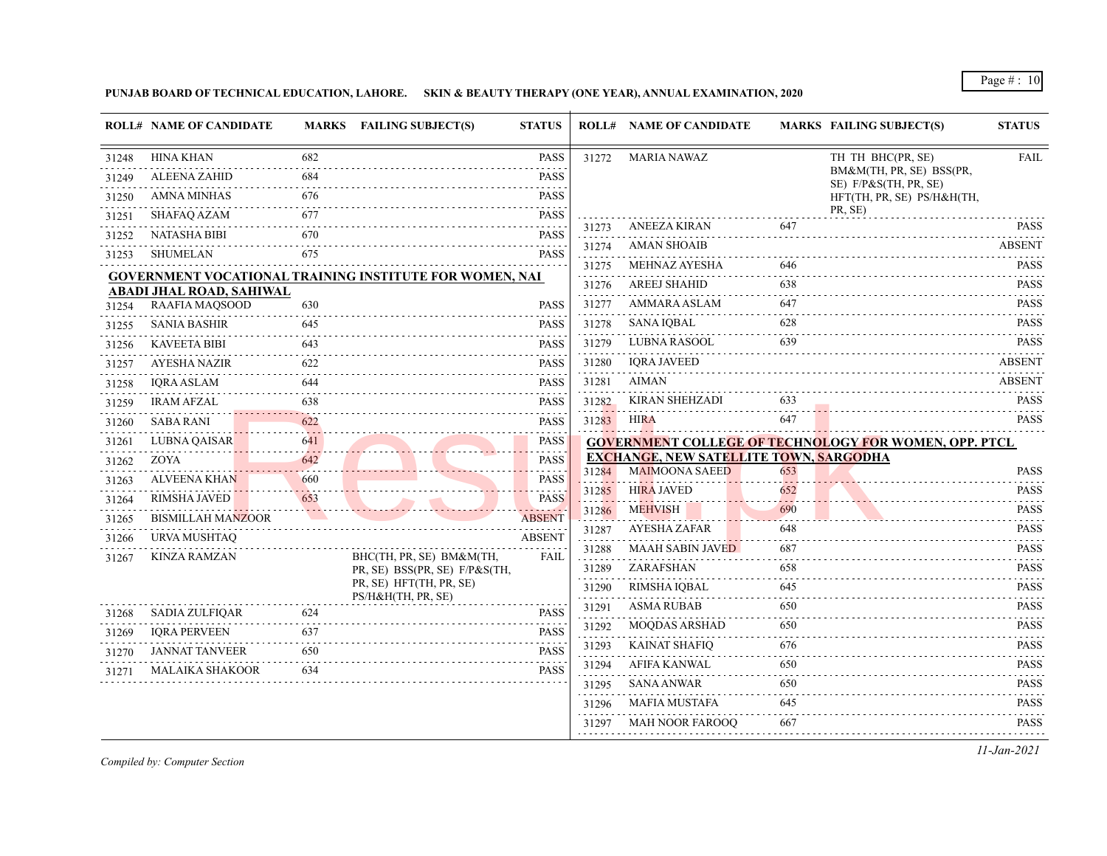## **PUNJAB BOARD OF TECHNICAL EDUCATION, LAHORE. SKIN & BEAUTY THERAPY (ONE YEAR), ANNUAL EXAMINATION, 2020**

|       | <b>ROLL# NAME OF CANDIDATE</b> |     | MARKS FAILING SUBJECT(S)                                | <b>STATUS</b>                                                                                                                            |       | <b>ROLL# NAME OF CANDIDATE</b>                                         |     | <b>MARKS FAILING SUBJECT(S)</b>                              | <b>STATUS</b>                                                                                                                                         |
|-------|--------------------------------|-----|---------------------------------------------------------|------------------------------------------------------------------------------------------------------------------------------------------|-------|------------------------------------------------------------------------|-----|--------------------------------------------------------------|-------------------------------------------------------------------------------------------------------------------------------------------------------|
| 31248 | HINA KHAN                      | 682 |                                                         | <b>PASS</b>                                                                                                                              | 31272 | <b>MARIA NAWAZ</b>                                                     |     | TH TH BHC(PR, SE)                                            | <b>FAIL</b>                                                                                                                                           |
| 31249 | <b>ALEENA ZAHID</b>            | 684 |                                                         | <b>PASS</b>                                                                                                                              |       |                                                                        |     | BM&M(TH, PR, SE) BSS(PR,<br>SE) F/P&S(TH, PR, SE)            |                                                                                                                                                       |
| 31250 | <b>AMNA MINHAS</b>             | 676 |                                                         | <b>PASS</b>                                                                                                                              |       |                                                                        |     | HFT(TH, PR, SE) PS/H&H(TH,                                   |                                                                                                                                                       |
| 31251 | <b>SHAFAQ AZAM</b>             | 677 |                                                         | <b>PASS</b><br>.                                                                                                                         |       |                                                                        |     | PR, SE)                                                      | .                                                                                                                                                     |
| 31252 | NATASHA BIBI                   | 670 |                                                         | PASS<br>.                                                                                                                                | 31273 | <b>ANEEZA KIRAN</b>                                                    | 647 |                                                              | <b>PASS</b>                                                                                                                                           |
| 31253 | <b>SHUMELAN</b>                | 675 |                                                         | <b>PASS</b>                                                                                                                              | 31274 | <b>AMAN SHOAIB</b>                                                     |     |                                                              | <b>ABSENT</b><br>$\mathcal{L}^{\mathcal{A}}\left( \mathcal{A}^{\mathcal{A}}\right) =\mathcal{L}^{\mathcal{A}}\left( \mathcal{A}^{\mathcal{A}}\right)$ |
|       |                                |     | GOVERNMENT VOCATIONAL TRAINING INSTITUTE FOR WOMEN, NAI |                                                                                                                                          | 31275 | <b>MEHNAZ AYESHA</b>                                                   | 646 |                                                              | <b>PASS</b>                                                                                                                                           |
|       | ABADI JHAL ROAD, SAHIWAL       |     |                                                         |                                                                                                                                          | 31276 | <b>AREEJ SHAHID</b>                                                    | 638 |                                                              | <b>PASS</b><br>.                                                                                                                                      |
| 31254 | RAAFIA MAQSOOD                 | 630 |                                                         | <b>PASS</b>                                                                                                                              | 31277 | AMMARA ASLAM                                                           | 647 |                                                              | <b>PASS</b>                                                                                                                                           |
| 31255 | <b>SANIA BASHIR</b>            | 645 |                                                         | <b>PASS</b>                                                                                                                              | 31278 | <b>SANA IQBAL</b>                                                      | 628 |                                                              | <b>PASS</b>                                                                                                                                           |
| 31256 | <b>KAVEETA BIBI</b>            | 643 |                                                         | <b>PASS</b>                                                                                                                              | 31279 | <b>LUBNA RASOOL</b>                                                    | 639 |                                                              | <b>PASS</b>                                                                                                                                           |
| 31257 | <b>AYESHA NAZIR</b>            | 622 |                                                         | <b>PASS</b>                                                                                                                              | 31280 | <b>IQRA JAVEED</b>                                                     |     |                                                              | <b>ABSENT</b>                                                                                                                                         |
| 31258 | <b>IQRA ASLAM</b>              | 644 |                                                         | <b>PASS</b>                                                                                                                              | 31281 | <b>AIMAN</b>                                                           |     |                                                              | <b>ABSENT</b><br>.                                                                                                                                    |
| 31259 | <b>IRAM AFZAL</b>              | 638 |                                                         | <b>PASS</b>                                                                                                                              | 31282 | <b>KIRAN SHEHZADI</b>                                                  | 633 |                                                              | <b>PASS</b><br>.                                                                                                                                      |
| 31260 | <b>SABA RANI</b>               | 622 |                                                         | <b>PASS</b>                                                                                                                              | 31283 | <b>HIRA</b>                                                            | 647 |                                                              | <b>PASS</b>                                                                                                                                           |
| 31261 | <b>LUBNA QAISAR</b>            | 641 |                                                         | <b>PASS</b>                                                                                                                              |       |                                                                        |     | <b>GOVERNMENT COLLEGE OF TECHNOLOGY FOR WOMEN, OPP. PTCL</b> |                                                                                                                                                       |
| 31262 | ZOYA                           | 642 |                                                         | <b>PASS</b><br>.                                                                                                                         |       | <b>EXCHANGE, NEW SATELLITE TOWN, SARGODHA</b><br><b>MAIMOONA SAEED</b> | 653 |                                                              | <b>PASS</b>                                                                                                                                           |
| 31263 | <b>ALVEENA KHAN</b>            | 660 |                                                         | <b>PASS</b>                                                                                                                              | 31284 | <b>HIRA JAVED</b>                                                      | 652 |                                                              | <b>PASS</b>                                                                                                                                           |
| 31264 | <b>RIMSHA JAVED</b>            | 653 |                                                         | <b>PASS</b>                                                                                                                              | 31285 | <b>MEHVISH</b>                                                         | 690 |                                                              | .                                                                                                                                                     |
| 31265 | <b>BISMILLAH MANZOOR</b>       |     |                                                         | <b>ABSENT</b>                                                                                                                            | 31286 |                                                                        |     |                                                              | PASS<br>.                                                                                                                                             |
| 31266 | URVA MUSHTAO                   |     |                                                         | <b>ABSENT</b>                                                                                                                            | 31287 | <b>AYESHA ZAFAR</b>                                                    | 648 |                                                              | <b>PASS</b><br>.                                                                                                                                      |
| 31267 | <b>KINZA RAMZAN</b>            |     | BHC(TH, PR, SE) BM&M(TH,                                | <b>FAIL</b>                                                                                                                              | 31288 | <b>MAAH SABIN JAVED</b>                                                | 687 |                                                              | <b>PASS</b>                                                                                                                                           |
|       |                                |     | PR, SE) BSS(PR, SE) F/P&S(TH,                           |                                                                                                                                          | 31289 | ZARAFSHAN                                                              | 658 |                                                              | <b>PASS</b>                                                                                                                                           |
|       |                                |     | PR, SE) HFT(TH, PR, SE)<br>PS/H&H(TH, PR, SE)           |                                                                                                                                          | 31290 | RIMSHA IQBAL                                                           | 645 |                                                              | <b>PASS</b>                                                                                                                                           |
| 31268 | <b>SADIA ZULFIOAR</b>          | 624 |                                                         | <b>PASS</b>                                                                                                                              | 31291 | <b>ASMA RUBAB</b>                                                      | 650 |                                                              | <b>PASS</b><br>.                                                                                                                                      |
| 31269 | <b>IQRA PERVEEN</b>            | 637 |                                                         | $\frac{1}{2} \left( \frac{1}{2} \right) \left( \frac{1}{2} \right) \left( \frac{1}{2} \right) \left( \frac{1}{2} \right)$<br><b>PASS</b> | 31292 | <b>MOQDAS ARSHAD</b>                                                   | 650 |                                                              | <b>PASS</b>                                                                                                                                           |
| 31270 | <b>JANNAT TANVEER</b>          | 650 |                                                         | <b>PASS</b>                                                                                                                              | 31293 | <b>KAINAT SHAFIQ</b>                                                   | 676 |                                                              | <b>PASS</b><br>.                                                                                                                                      |
| 31271 | <b>MALAIKA SHAKOOR</b>         | 634 |                                                         | $\alpha$ is a second set of $\alpha$<br><b>PASS</b>                                                                                      | 31294 | <b>AFIFA KANWAL</b>                                                    | 650 |                                                              | <b>PASS</b><br>$\sim$ $\sim$ $\sim$ $\sim$ $\sim$ $\sim$                                                                                              |
|       |                                |     |                                                         |                                                                                                                                          | 31295 | SANA ANWAR                                                             | 650 |                                                              | <b>PASS</b><br>.                                                                                                                                      |
|       |                                |     |                                                         |                                                                                                                                          | 31296 | <b>MAFIA MUSTAFA</b>                                                   | 645 |                                                              | <b>PASS</b><br>.                                                                                                                                      |
|       |                                |     |                                                         |                                                                                                                                          |       | <b>MAH NOOR FAROOO</b>                                                 | 667 |                                                              | <b>PASS</b>                                                                                                                                           |

*Compiled by: Computer Section*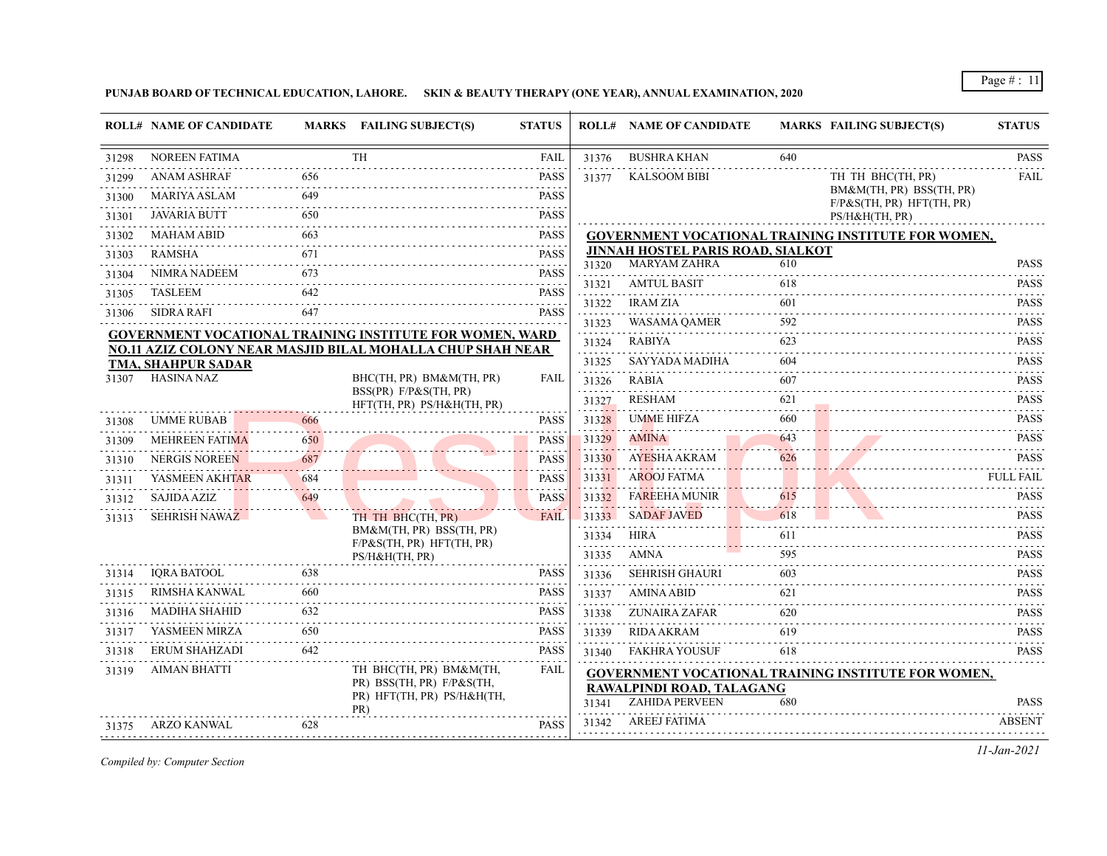**PUNJAB BOARD OF TECHNICAL EDUCATION, LAHORE. SKIN & BEAUTY THERAPY (ONE YEAR), ANNUAL EXAMINATION, 2020**

|       | <b>ROLL# NAME OF CANDIDATE</b>                                    |                       | MARKS FAILING SUBJECT(S)                                        | <b>STATUS</b>                       |                     | <b>ROLL# NAME OF CANDIDATE</b>           |                     | <b>MARKS FAILING SUBJECT(S)</b>                            | <b>STATUS</b>                                                                                                                                                                                  |
|-------|-------------------------------------------------------------------|-----------------------|-----------------------------------------------------------------|-------------------------------------|---------------------|------------------------------------------|---------------------|------------------------------------------------------------|------------------------------------------------------------------------------------------------------------------------------------------------------------------------------------------------|
| 31298 | <b>NOREEN FATIMA</b>                                              |                       | <b>TH</b>                                                       | <b>FAIL</b>                         | 31376               | <b>BUSHRA KHAN</b>                       | 640                 |                                                            | <b>PASS</b>                                                                                                                                                                                    |
| 31299 | <b>ANAM ASHRAF</b>                                                | 656                   |                                                                 | <b>PASS</b>                         | 31377               | <b>KALSOOM BIBI</b>                      |                     | TH TH BHC(TH, PR)                                          | <b>FAIL</b>                                                                                                                                                                                    |
| 31300 | <b>MARIYA ASLAM</b>                                               | 649                   |                                                                 | <b>PASS</b><br>.                    |                     |                                          |                     | BM&M(TH, PR) BSS(TH, PR)<br>$F/P\&S(TH, PR) HFT(TH, PR)$   |                                                                                                                                                                                                |
| 31301 | <b>JAVARIA BUTT</b>                                               | 650                   |                                                                 | <b>PASS</b>                         |                     |                                          |                     | PS/H&H(TH, PR)                                             |                                                                                                                                                                                                |
| 31302 | <b>MAHAM ABID</b>                                                 | 663                   |                                                                 | <b>PASS</b>                         |                     |                                          |                     | GOVERNMENT VOCATIONAL TRAINING INSTITUTE FOR WOMEN,        |                                                                                                                                                                                                |
| 31303 | RAMSHA                                                            | 671                   |                                                                 | $\omega$ is a set of<br><b>PASS</b> |                     | JINNAH HOSTEL PARIS ROAD, SIALKOT        |                     |                                                            |                                                                                                                                                                                                |
| 31304 | NIMRA NADEEM                                                      | 673                   |                                                                 | <b>PASS</b>                         |                     | 31320 MARYAM ZAHRA<br><b>AMTUL BASIT</b> | 610                 |                                                            | <b>PASS</b>                                                                                                                                                                                    |
| 31305 | <b>TASLEEM</b>                                                    | 642                   |                                                                 | $-1 - 1 - 1$<br><b>PASS</b>         | 31321               |                                          | 618                 |                                                            | <b>PASS</b><br>.                                                                                                                                                                               |
| 31306 | <b>SIDRA RAFI</b>                                                 | 647                   |                                                                 | .<br><b>PASS</b>                    | 31322               | <b>IRAM ZIA</b>                          | 601                 |                                                            | <b>PASS</b><br>$\sim$ 100 $\pm$ 100 $\pm$                                                                                                                                                      |
|       |                                                                   |                       | <b>GOVERNMENT VOCATIONAL TRAINING INSTITUTE FOR WOMEN, WARD</b> |                                     | 31323<br>.          | WASAMA QAMER                             | 592                 |                                                            | <b>PASS</b>                                                                                                                                                                                    |
|       |                                                                   |                       | NO.11 AZIZ COLONY NEAR MASJID BILAL MOHALLA CHUP SHAH NEAR      |                                     | 31324               | RABIYA                                   | 623                 |                                                            | <b>PASS</b><br>.                                                                                                                                                                               |
|       | TMA, SHAHPUR SADAR<br>HASINA NAZ                                  |                       | BHC(TH, PR) BM&M(TH, PR)                                        | <b>FAIL</b>                         | 31325               | SAYYADA MADIHA                           | 604<br>.            |                                                            | <b>PASS</b>                                                                                                                                                                                    |
| 31307 |                                                                   |                       | BSS(PR) F/P&S(TH, PR)                                           |                                     | 31326               | <b>RABIA</b>                             | 607                 |                                                            | <b>PASS</b>                                                                                                                                                                                    |
|       |                                                                   |                       | HFT(TH, PR) PS/H&H(TH, PR)                                      |                                     | 31327               | RESHAM                                   | 621                 |                                                            | <b>PASS</b>                                                                                                                                                                                    |
| 31308 | <b>UMME RUBAB</b>                                                 | 666                   |                                                                 | <b>PASS</b>                         | 31328<br>. <b>.</b> | <b>UMME HIFZA</b>                        | 660<br>a a a a a s  |                                                            | <b>PASS</b>                                                                                                                                                                                    |
| 31309 | <b>MEHREEN FATIMA</b>                                             | 650                   |                                                                 | <b>PASS</b>                         | 31329               | <b>AMINA</b>                             | 643                 |                                                            | <b>PASS</b><br>$\sim$ $\sim$ $\sim$ $\sim$ $\sim$ $\sim$                                                                                                                                       |
| 31310 | <b>NERGIS NOREEN</b>                                              | 687                   |                                                                 | <b>PASS</b>                         | 31330               | AYESHA AKRAM                             | 626<br>. <b>.</b> . |                                                            | <b>PASS</b>                                                                                                                                                                                    |
| 31311 | YASMEEN AKHTAR<br>the contract of the contract of the contract of | 684<br>. <u>. . 1</u> |                                                                 | <b>PASS</b><br>.                    | 31331               | <b>AROOJ FATMA</b>                       |                     |                                                            | <b>FULL FAIL</b>                                                                                                                                                                               |
| 31312 | <b>SAJIDA AZIZ</b>                                                | 649                   |                                                                 | <b>PASS</b>                         | 31332               | FAREEHA MUNIR                            | 615<br>.            |                                                            | <b>PASS</b><br>.                                                                                                                                                                               |
| 31313 | <b>SEHRISH NAWAZ</b>                                              |                       | TH TH BHC(TH, PR)                                               | FAIL                                | 31333               | <b>SADAF JAVED</b>                       | 618                 |                                                            | <b>PASS</b>                                                                                                                                                                                    |
|       |                                                                   |                       | BM&M(TH, PR) BSS(TH, PR)<br>$F/P\&S(TH, PR) HFT(TH, PR)$        |                                     | 31334<br>.          | HIRA                                     | 611                 |                                                            | <b>PASS</b><br>$\omega$ is a single                                                                                                                                                            |
|       |                                                                   |                       | PS/H&H(TH, PR)                                                  |                                     | 31335<br>.          | AMNA                                     | 595<br>.            |                                                            | <b>PASS</b><br>$\frac{1}{2} \left( \frac{1}{2} \right) \left( \frac{1}{2} \right) \left( \frac{1}{2} \right) \left( \frac{1}{2} \right) \left( \frac{1}{2} \right) \left( \frac{1}{2} \right)$ |
| 31314 | <b>IORA BATOOL</b>                                                | 638                   |                                                                 | <b>PASS</b>                         | 31336               | <b>SEHRISH GHAURI</b>                    | 603                 |                                                            | <b>PASS</b>                                                                                                                                                                                    |
| 31315 | RIMSHA KANWAL                                                     | 660                   |                                                                 | <b>PASS</b>                         | 31337               | AMINA ABID                               | 621                 |                                                            | <b>PASS</b>                                                                                                                                                                                    |
| 31316 | <b>MADIHA SHAHID</b>                                              | 632                   |                                                                 | <b>PASS</b><br>.                    | 31338               | ZUNAIRA ZAFAR                            | 620                 |                                                            | <b>PASS</b>                                                                                                                                                                                    |
| 31317 | YASMEEN MIRZA                                                     | 650<br>and a state of |                                                                 | <b>PASS</b>                         | 31339               | <b>RIDA AKRAM</b>                        | 619                 |                                                            | <b>PASS</b><br>.                                                                                                                                                                               |
| 31318 | ERUM SHAHZADI                                                     | 642                   |                                                                 | <b>PASS</b>                         | 31340               | <b>FAKHRA YOUSUF</b>                     | 618                 |                                                            | <b>PASS</b>                                                                                                                                                                                    |
| 31319 | <b>AIMAN BHATTI</b>                                               |                       | TH BHC(TH, PR) BM&M(TH,                                         | <b>FAIL</b>                         |                     |                                          |                     | <b>GOVERNMENT VOCATIONAL TRAINING INSTITUTE FOR WOMEN,</b> |                                                                                                                                                                                                |
|       |                                                                   |                       | PR) BSS(TH, PR) F/P&S(TH,<br>PR) HFT(TH, PR) PS/H&H(TH,         |                                     |                     | RAWALPINDI ROAD, TALAGANG                |                     |                                                            |                                                                                                                                                                                                |
|       |                                                                   |                       | PR)                                                             |                                     | 31341               | <b>ZAHIDA PERVEEN</b>                    | 680                 |                                                            | <b>PASS</b>                                                                                                                                                                                    |
| 31375 | ARZO KANWAL                                                       | 628                   |                                                                 | <b>PASS</b>                         |                     | 31342 AREEJ FATIMA                       |                     |                                                            | <b>ABSENT</b>                                                                                                                                                                                  |

*Compiled by: Computer Section*